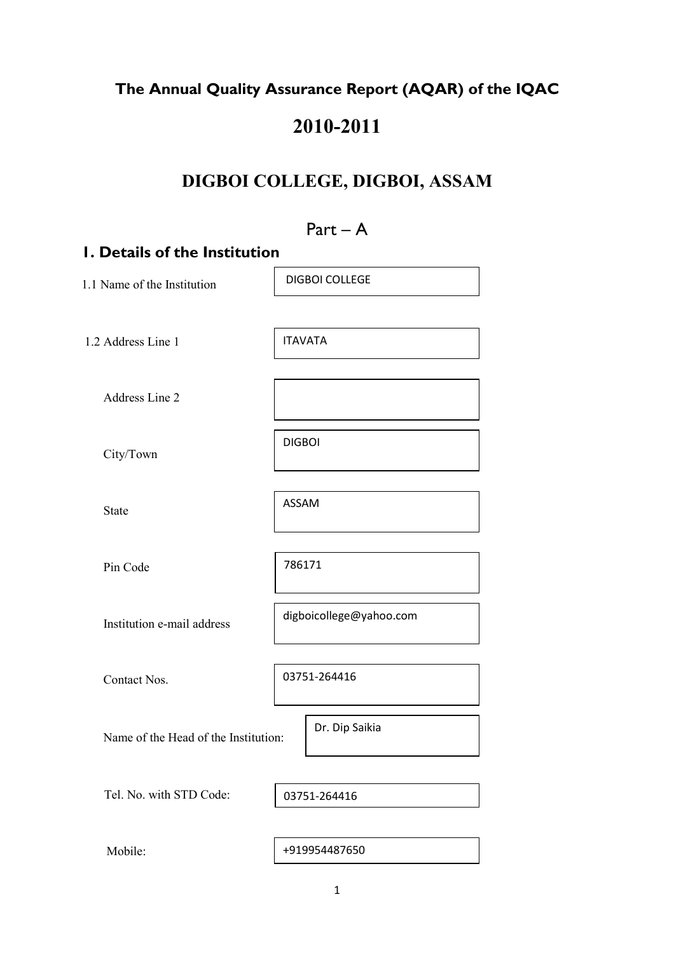# The Annual Quality Assurance Report (AQAR) of the IQAC

# 2010-2011

# DIGBOI COLLEGE, DIGBOI, ASSAM

|                                      | $Part - A$              |  |  |  |  |  |  |
|--------------------------------------|-------------------------|--|--|--|--|--|--|
| <b>I. Details of the Institution</b> |                         |  |  |  |  |  |  |
| 1.1 Name of the Institution          | <b>DIGBOI COLLEGE</b>   |  |  |  |  |  |  |
| 1.2 Address Line 1                   | <b>ITAVATA</b>          |  |  |  |  |  |  |
| <b>Address Line 2</b>                |                         |  |  |  |  |  |  |
| City/Town                            | <b>DIGBOI</b>           |  |  |  |  |  |  |
| <b>State</b>                         | <b>ASSAM</b>            |  |  |  |  |  |  |
| Pin Code                             | 786171                  |  |  |  |  |  |  |
| Institution e-mail address           | digboicollege@yahoo.com |  |  |  |  |  |  |
| Contact Nos.                         | 03751-264416            |  |  |  |  |  |  |
| Name of the Head of the Institution: | Dr. Dip Saikia          |  |  |  |  |  |  |
| Tel. No. with STD Code:              | 03751-264416            |  |  |  |  |  |  |
| Mobile:                              | +919954487650           |  |  |  |  |  |  |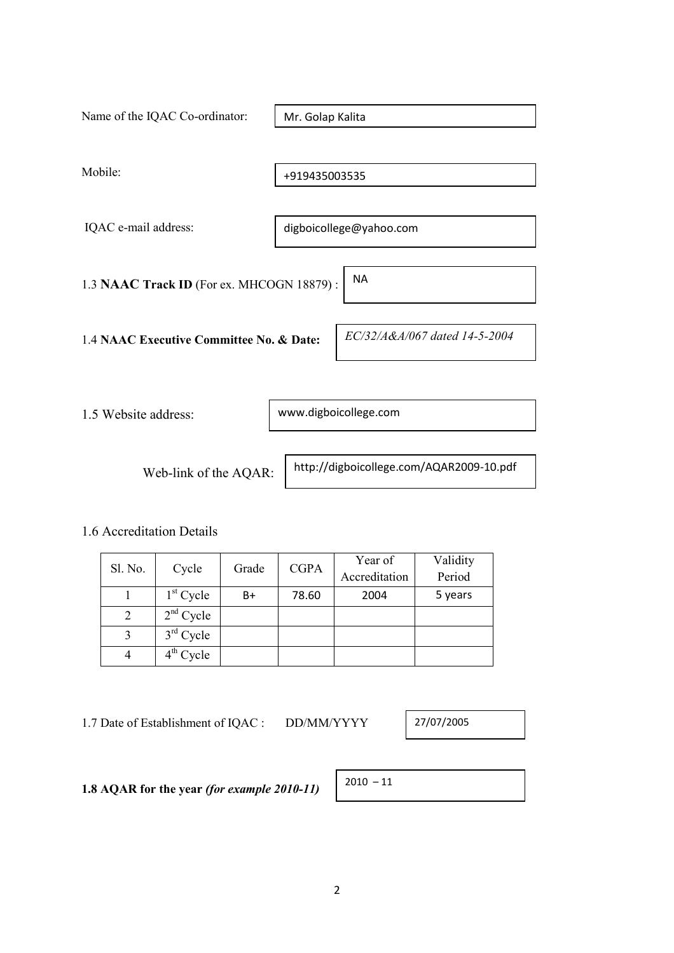| Name of the IQAC Co-ordinator:                         | Mr. Golap Kalita              |  |  |  |
|--------------------------------------------------------|-------------------------------|--|--|--|
| Mobile:                                                | +919435003535                 |  |  |  |
| IQAC e-mail address:                                   | digboicollege@yahoo.com       |  |  |  |
| <b>NA</b><br>1.3 NAAC Track ID (For ex. MHCOGN 18879): |                               |  |  |  |
| 1.4 NAAC Executive Committee No. & Date:               | EC/32/A&A/067 dated 14-5-2004 |  |  |  |
| 1.5 Website address:                                   | www.digboicollege.com         |  |  |  |

Web-link of the AQAR:

http://digboicollege.com/AQAR2009-10.pdf

# 1.6 Accreditation Details

| Sl. No. | Cycle       | Grade | <b>CGPA</b> | Year of       | Validity |
|---------|-------------|-------|-------------|---------------|----------|
|         |             |       |             | Accreditation | Period   |
|         | $1st$ Cycle | B+    | 78.60       | 2004          | 5 years  |
|         | $2nd$ Cycle |       |             |               |          |
|         | $3rd$ Cycle |       |             |               |          |
|         | $4th$ Cycle |       |             |               |          |

1.7 Date of Establishment of IQAC : DD/MM/YYYY

27/07/2005

1.8 AQAR for the year (for example 2010-11)

| 2010 |  |
|------|--|
|      |  |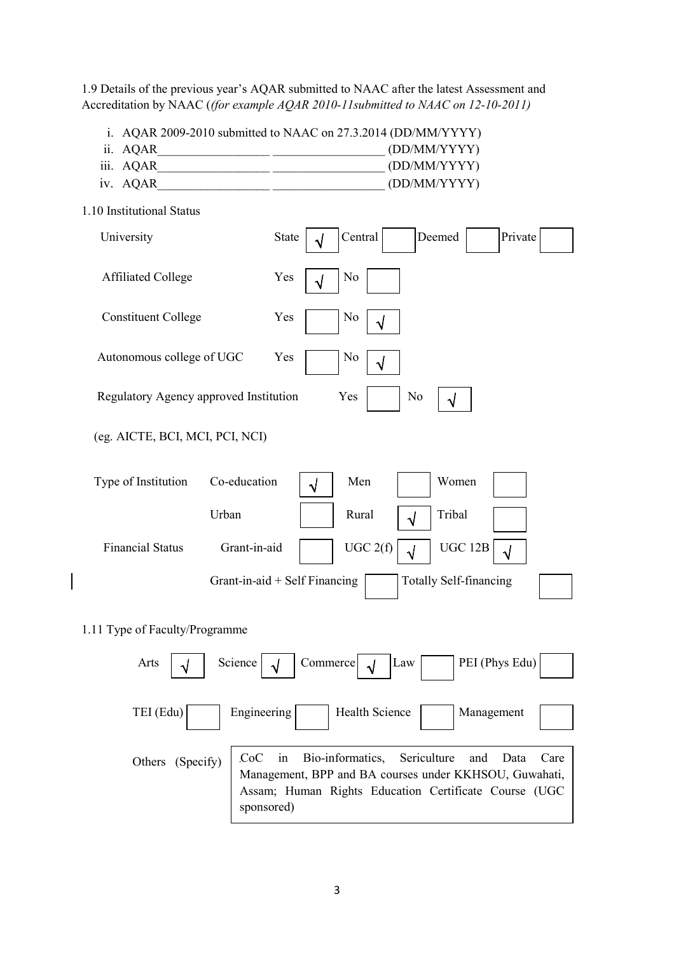1.9 Details of the previous year's AQAR submitted to NAAC after the latest Assessment and Accreditation by NAAC ((for example AQAR 2010-11submitted to NAAC on 12-10-2011)

i. AQAR 2009-2010 submitted to NAAC on 27.3.2014 (DD/MM/YYYY)

- ii. AQAR (DD/MM/YYYY)
- iii. AQAR\_\_\_\_\_\_\_\_\_\_\_\_\_\_\_\_\_\_ \_\_\_\_\_\_\_\_\_\_\_\_\_\_\_\_\_\_ (DD/MM/YYYY)
- iv. AQAR  $\qquad \qquad \qquad \text{(DD/MM/YYYY)}$

| 1.10 Institutional Status              |                                                                       |
|----------------------------------------|-----------------------------------------------------------------------|
| University                             | Central<br>Deemed<br>Private<br><b>State</b><br>$\sqrt{}$             |
| <b>Affiliated College</b>              | Yes<br>N <sub>0</sub><br>√                                            |
| <b>Constituent College</b>             | Yes<br>N <sub>0</sub>                                                 |
| Autonomous college of UGC              | Yes<br>N <sub>0</sub><br>$\sqrt{}$                                    |
| Regulatory Agency approved Institution | Yes<br>N <sub>0</sub><br>√                                            |
| (eg. AICTE, BCI, MCI, PCI, NCI)        |                                                                       |
| Co-education<br>Type of Institution    | Men<br>Women<br>$\sqrt{}$                                             |
| Urban                                  | Rural<br>Tribal<br>$\sqrt{}$                                          |
| <b>Financial Status</b>                | Grant-in-aid<br>UGC 2(f)<br><b>UGC 12B</b><br>$\sqrt{2}$<br>$\sqrt{}$ |
|                                        | Grant-in-aid + Self Financing<br><b>Totally Self-financing</b>        |
| 1.11 Type of Faculty/Programme         |                                                                       |
| Science<br>Arts<br>$\sqrt{2}$          | PEI (Phys Edu)<br>Commerce<br>Law<br>$\sqrt{}$<br>√                   |
| TEI (Edu)                              | Engineering<br>Health Science<br>Management                           |

| Others (Specify) CoC in Bio-informatics, Sericulture and Data Care Management, BPP and BA courses under KKHSOU, Guwahati, |                                                       |  |  |  |  |  |
|---------------------------------------------------------------------------------------------------------------------------|-------------------------------------------------------|--|--|--|--|--|
|                                                                                                                           |                                                       |  |  |  |  |  |
|                                                                                                                           | Assam; Human Rights Education Certificate Course (UGC |  |  |  |  |  |
|                                                                                                                           | sponsored)                                            |  |  |  |  |  |
|                                                                                                                           |                                                       |  |  |  |  |  |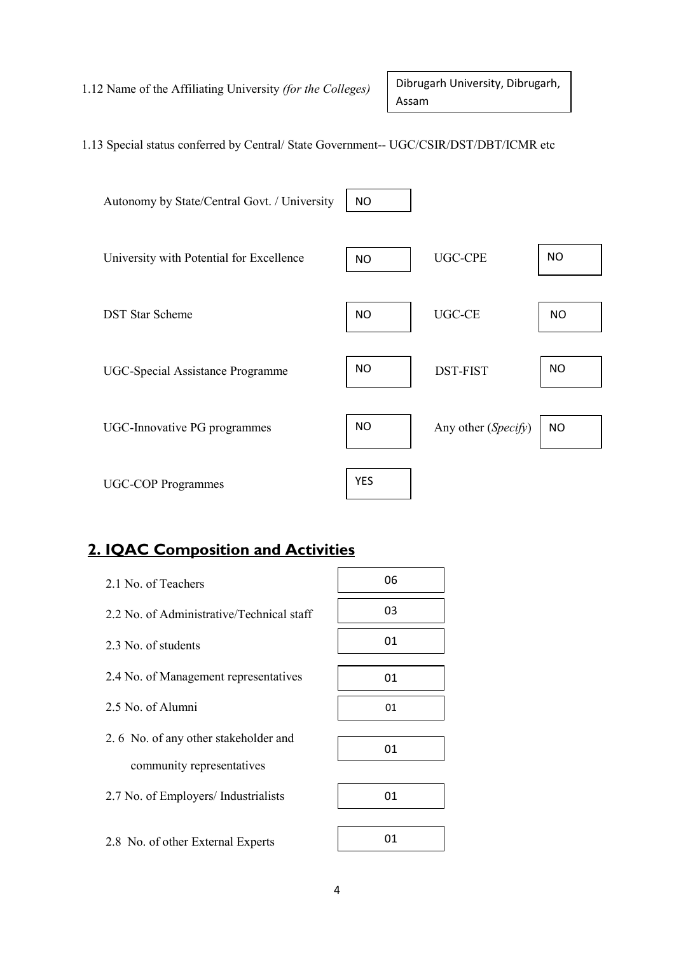1.12 Name of the Affiliating University (for the Colleges)

Dibrugarh University, Dibrugarh, Assam

# 1.13 Special status conferred by Central/ State Government-- UGC/CSIR/DST/DBT/ICMR etc



# 2. IQAC Composition and Activities

| 06 |
|----|
| 03 |
| 01 |
| 01 |
| 01 |
|    |
| 01 |
|    |
| 01 |
|    |

2.8 No. of other External Experts

01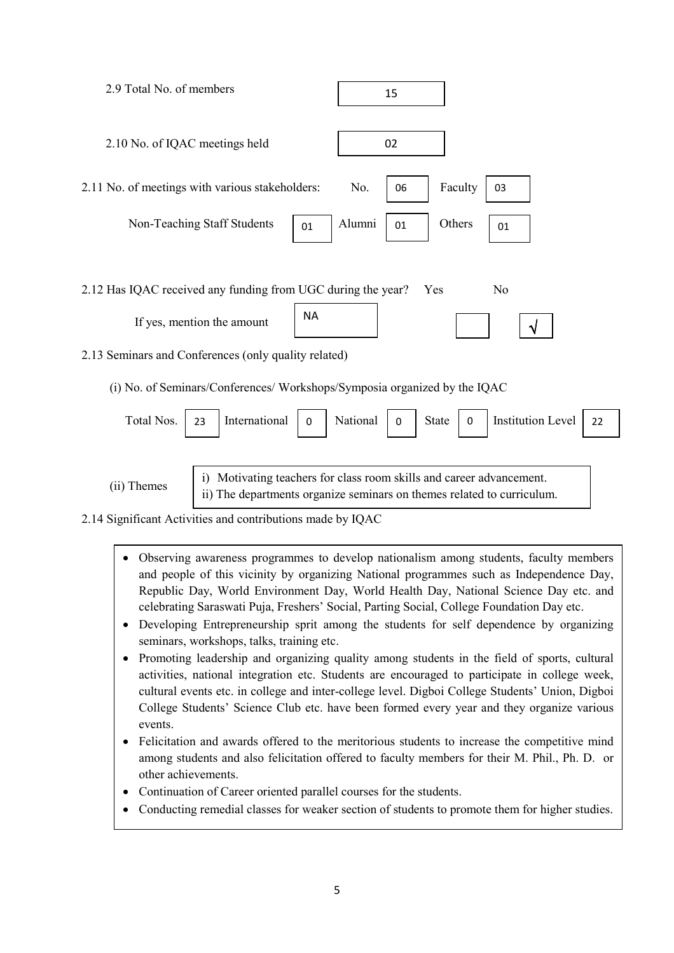

(ii) Themes

i) Motivating teachers for class room skills and career advancement. ii) The departments organize seminars on themes related to curriculum.

2.14 Significant Activities and contributions made by IQAC

- Observing awareness programmes to develop nationalism among students, faculty members and people of this vicinity by organizing National programmes such as Independence Day, Republic Day, World Environment Day, World Health Day, National Science Day etc. and celebrating Saraswati Puja, Freshers' Social, Parting Social, College Foundation Day etc.
- Developing Entrepreneurship sprit among the students for self dependence by organizing seminars, workshops, talks, training etc.
- Promoting leadership and organizing quality among students in the field of sports, cultural activities, national integration etc. Students are encouraged to participate in college week, cultural events etc. in college and inter-college level. Digboi College Students' Union, Digboi College Students' Science Club etc. have been formed every year and they organize various events.
- Felicitation and awards offered to the meritorious students to increase the competitive mind among students and also felicitation offered to faculty members for their M. Phil., Ph. D. or other achievements.
- Continuation of Career oriented parallel courses for the students.
- Conducting remedial classes for weaker section of students to promote them for higher studies.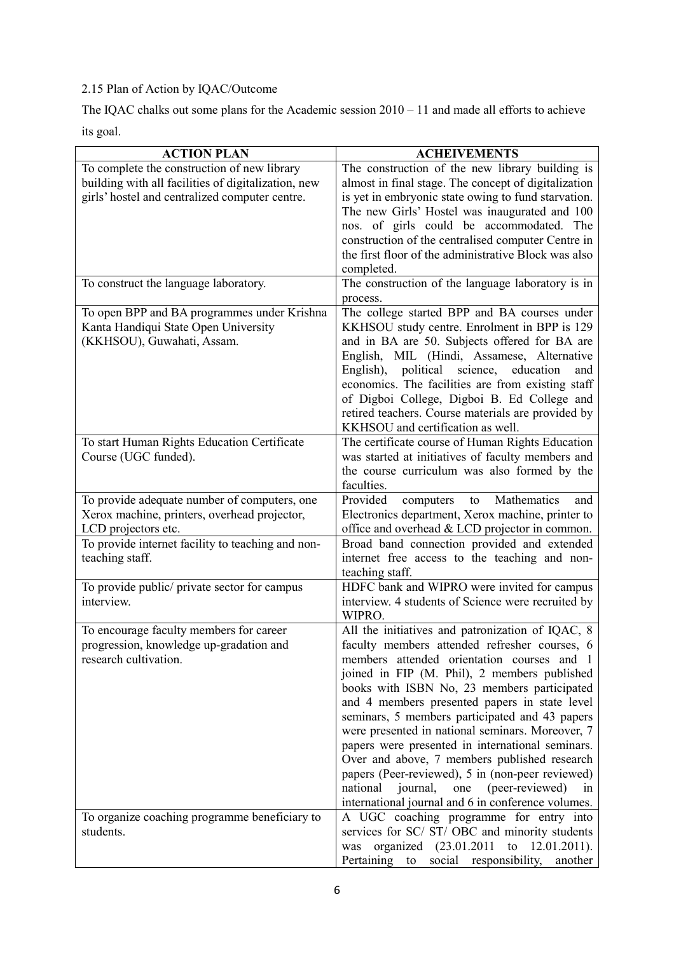# 2.15 Plan of Action by IQAC/Outcome

The IQAC chalks out some plans for the Academic session 2010 – 11 and made all efforts to achieve its goal.

| <b>ACTION PLAN</b>                                                                                                                                                                          | <b>ACHEIVEMENTS</b>                                                                                                                                                                                                                                                                                                                                                                                                                                                                                                                                                                                                                                                         |
|---------------------------------------------------------------------------------------------------------------------------------------------------------------------------------------------|-----------------------------------------------------------------------------------------------------------------------------------------------------------------------------------------------------------------------------------------------------------------------------------------------------------------------------------------------------------------------------------------------------------------------------------------------------------------------------------------------------------------------------------------------------------------------------------------------------------------------------------------------------------------------------|
| To complete the construction of new library<br>building with all facilities of digitalization, new<br>girls' hostel and centralized computer centre.                                        | The construction of the new library building is<br>almost in final stage. The concept of digitalization<br>is yet in embryonic state owing to fund starvation.<br>The new Girls' Hostel was inaugurated and 100<br>nos. of girls could be accommodated. The<br>construction of the centralised computer Centre in<br>the first floor of the administrative Block was also<br>completed.                                                                                                                                                                                                                                                                                     |
| To construct the language laboratory.                                                                                                                                                       | The construction of the language laboratory is in<br>process.                                                                                                                                                                                                                                                                                                                                                                                                                                                                                                                                                                                                               |
| To open BPP and BA programmes under Krishna<br>Kanta Handiqui State Open University<br>(KKHSOU), Guwahati, Assam.                                                                           | The college started BPP and BA courses under<br>KKHSOU study centre. Enrolment in BPP is 129<br>and in BA are 50. Subjects offered for BA are<br>English, MIL (Hindi, Assamese, Alternative<br>science, education<br>English), political<br>and<br>economics. The facilities are from existing staff<br>of Digboi College, Digboi B. Ed College and<br>retired teachers. Course materials are provided by<br>KKHSOU and certification as well.                                                                                                                                                                                                                              |
| To start Human Rights Education Certificate<br>Course (UGC funded).                                                                                                                         | The certificate course of Human Rights Education<br>was started at initiatives of faculty members and<br>the course curriculum was also formed by the<br>faculties.                                                                                                                                                                                                                                                                                                                                                                                                                                                                                                         |
| To provide adequate number of computers, one<br>Xerox machine, printers, overhead projector,<br>LCD projectors etc.<br>To provide internet facility to teaching and non-<br>teaching staff. | Provided<br>Mathematics<br>computers<br>to<br>and<br>Electronics department, Xerox machine, printer to<br>office and overhead $& LCD$ projector in common.<br>Broad band connection provided and extended<br>internet free access to the teaching and non-<br>teaching staff.                                                                                                                                                                                                                                                                                                                                                                                               |
| To provide public/ private sector for campus<br>interview.                                                                                                                                  | HDFC bank and WIPRO were invited for campus<br>interview. 4 students of Science were recruited by<br>WIPRO.                                                                                                                                                                                                                                                                                                                                                                                                                                                                                                                                                                 |
| To encourage faculty members for career<br>progression, knowledge up-gradation and<br>research cultivation.                                                                                 | All the initiatives and patronization of IQAC, 8<br>faculty members attended refresher courses, 6<br>members attended orientation courses and 1<br>joined in FIP (M. Phil), 2 members published<br>books with ISBN No, 23 members participated<br>and 4 members presented papers in state level<br>seminars, 5 members participated and 43 papers<br>were presented in national seminars. Moreover, 7<br>papers were presented in international seminars.<br>Over and above, 7 members published research<br>papers (Peer-reviewed), 5 in (non-peer reviewed)<br>national<br>(peer-reviewed)<br>journal,<br>one<br>1n<br>international journal and 6 in conference volumes. |
| To organize coaching programme beneficiary to<br>students.                                                                                                                                  | A UGC coaching programme for entry into<br>services for SC/ ST/ OBC and minority students<br>organized $(23.01.2011)$<br>$12.01.2011$ ).<br>to<br>was<br>Pertaining to social responsibility,<br>another                                                                                                                                                                                                                                                                                                                                                                                                                                                                    |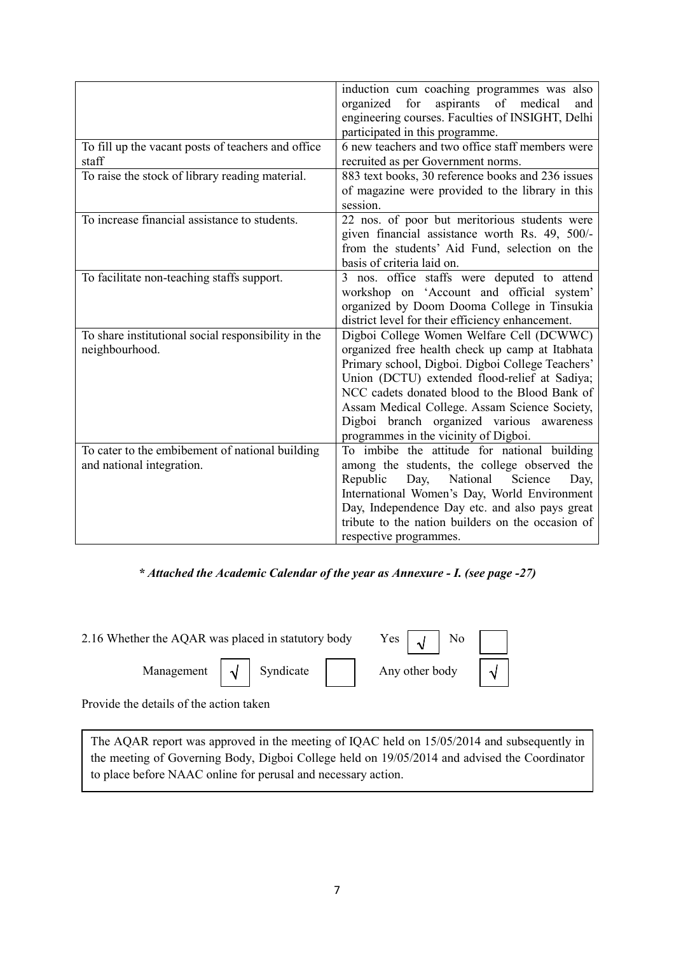|                                                                              | induction cum coaching programmes was also<br>for<br>of<br>aspirants<br>medical<br>organized<br>and<br>engineering courses. Faculties of INSIGHT, Delhi<br>participated in this programme.                                                                                                                                                                                                |
|------------------------------------------------------------------------------|-------------------------------------------------------------------------------------------------------------------------------------------------------------------------------------------------------------------------------------------------------------------------------------------------------------------------------------------------------------------------------------------|
| To fill up the vacant posts of teachers and office<br>staff                  | 6 new teachers and two office staff members were<br>recruited as per Government norms.                                                                                                                                                                                                                                                                                                    |
| To raise the stock of library reading material.                              | 883 text books, 30 reference books and 236 issues<br>of magazine were provided to the library in this<br>session.                                                                                                                                                                                                                                                                         |
| To increase financial assistance to students.                                | 22 nos. of poor but meritorious students were<br>given financial assistance worth Rs. 49, 500/-<br>from the students' Aid Fund, selection on the<br>basis of criteria laid on.                                                                                                                                                                                                            |
| To facilitate non-teaching staffs support.                                   | 3 nos. office staffs were deputed to attend<br>workshop on 'Account and official system'<br>organized by Doom Dooma College in Tinsukia<br>district level for their efficiency enhancement.                                                                                                                                                                                               |
| To share institutional social responsibility in the<br>neighbourhood.        | Digboi College Women Welfare Cell (DCWWC)<br>organized free health check up camp at Itabhata<br>Primary school, Digboi. Digboi College Teachers'<br>Union (DCTU) extended flood-relief at Sadiya;<br>NCC cadets donated blood to the Blood Bank of<br>Assam Medical College. Assam Science Society,<br>Digboi branch organized various awareness<br>programmes in the vicinity of Digboi. |
| To cater to the embibement of national building<br>and national integration. | To imbibe the attitude for national building<br>among the students, the college observed the<br>Republic<br>National<br>Science<br>Day,<br>Day,<br>International Women's Day, World Environment<br>Day, Independence Day etc. and also pays great<br>tribute to the nation builders on the occasion of<br>respective programmes.                                                          |

\* Attached the Academic Calendar of the year as Annexure - I. (see page -27)

| 2.16 Whether the AQAR was placed in statutory body Yes $\begin{bmatrix} \sqrt{1} & \sqrt{1} & \sqrt{1} & \sqrt{1} & \sqrt{1} & \sqrt{1} & \sqrt{1} & \sqrt{1} & \sqrt{1} & \sqrt{1} & \sqrt{1} & \sqrt{1} & \sqrt{1} & \sqrt{1} & \sqrt{1} & \sqrt{1} & \sqrt{1} & \sqrt{1} & \sqrt{1} & \sqrt{1} & \sqrt{1} & \sqrt{1} & \sqrt{1} & \sqrt{1} & \sqrt{1} & \sqrt{1} & \sqrt{$ |  |  |  |  |
|-------------------------------------------------------------------------------------------------------------------------------------------------------------------------------------------------------------------------------------------------------------------------------------------------------------------------------------------------------------------------------|--|--|--|--|
| Management $\sqrt{\sqrt{ }}$ Syndicate   Any other body $\sqrt{ }$                                                                                                                                                                                                                                                                                                            |  |  |  |  |

Provide the details of the action taken

The AQAR report was approved in the meeting of IQAC held on 15/05/2014 and subsequently in the meeting of Governing Body, Digboi College held on 19/05/2014 and advised the Coordinator to place before NAAC online for perusal and necessary action.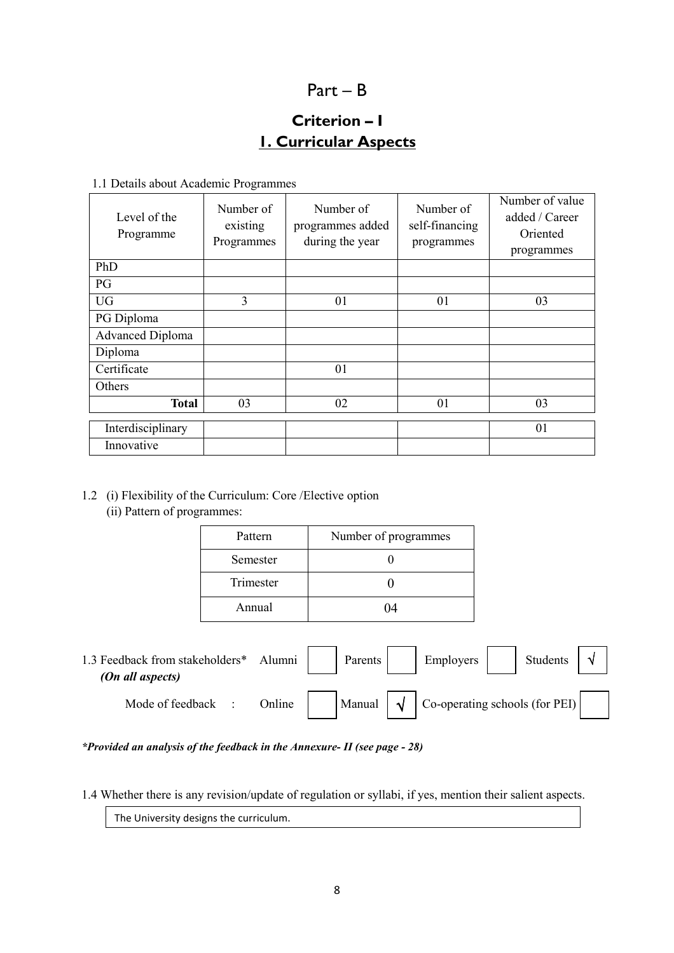# Part – B

# Criterion – I 1. Curricular Aspects

1.1 Details about Academic Programmes

| Level of the<br>Programme | Number of<br>existing<br>Programmes | Number of<br>programmes added<br>during the year | Number of<br>self-financing<br>programmes | Number of value<br>added / Career<br>Oriented<br>programmes |
|---------------------------|-------------------------------------|--------------------------------------------------|-------------------------------------------|-------------------------------------------------------------|
| PhD                       |                                     |                                                  |                                           |                                                             |
| PG                        |                                     |                                                  |                                           |                                                             |
| <b>UG</b>                 | 3                                   | 01                                               | 01                                        | 03                                                          |
| PG Diploma                |                                     |                                                  |                                           |                                                             |
| <b>Advanced Diploma</b>   |                                     |                                                  |                                           |                                                             |
| Diploma                   |                                     |                                                  |                                           |                                                             |
| Certificate               |                                     | 01                                               |                                           |                                                             |
| Others                    |                                     |                                                  |                                           |                                                             |
| <b>Total</b>              | 03                                  | 02                                               | 01                                        | 03                                                          |
| Interdisciplinary         |                                     |                                                  |                                           | 01                                                          |
| Innovative                |                                     |                                                  |                                           |                                                             |

- 1.2 (i) Flexibility of the Curriculum: Core /Elective option
	- (ii) Pattern of programmes:

| Pattern   | Number of programmes |
|-----------|----------------------|
| Semester  |                      |
| Trimester |                      |
| Annual    |                      |

| 1.3 Feedback from stakeholders*<br>(On all aspects) | Alumni | Parents |           | Employers                      | <b>Students</b> |  |
|-----------------------------------------------------|--------|---------|-----------|--------------------------------|-----------------|--|
| Mode of feedback                                    | Online | Manual  | $\lambda$ | Co-operating schools (for PEI) |                 |  |

\*Provided an analysis of the feedback in the Annexure- II (see page - 28)

1.4 Whether there is any revision/update of regulation or syllabi, if yes, mention their salient aspects.

The University designs the curriculum.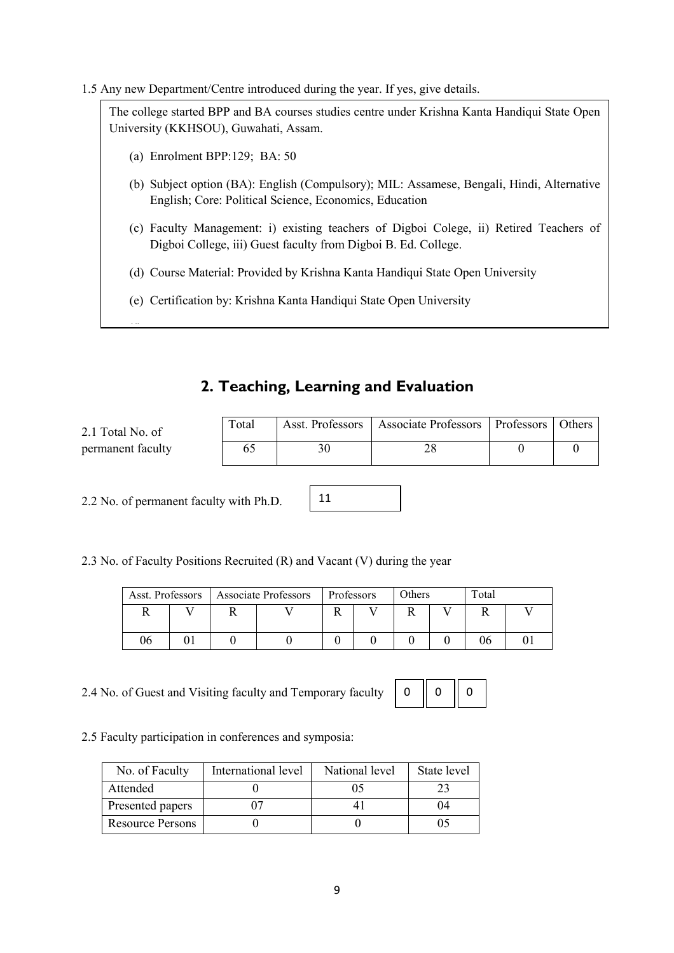1.5 Any new Department/Centre introduced during the year. If yes, give details.

The college started BPP and BA courses studies centre under Krishna Kanta Handiqui State Open University (KKHSOU), Guwahati, Assam.

- (a) Enrolment BPP: 129; BA: 50
- (b) Subject option (BA): English (Compulsory); MIL: Assamese, Bengali, Hindi, Alternative English; Core: Political Science, Economics, Education
- (c) Faculty Management: i) existing teachers of Digboi Colege, ii) Retired Teachers of Digboi College, iii) Guest faculty from Digboi B. Ed. College.
- (d) Course Material: Provided by Krishna Kanta Handiqui State Open University
- (e) Certification by: Krishna Kanta Handiqui State Open University

# 2. Teaching, Learning and Evaluation

| 2.1 Total No. of  | Total | Asst. Professors   Associate Professors   Professors   Others |  |
|-------------------|-------|---------------------------------------------------------------|--|
| permanent facultv |       | าс                                                            |  |

11

2.2 No. of permanent faculty with Ph.D.

 $\overline{a}$ 

2.3 No. of Faculty Positions Recruited (R) and Vacant (V) during the year

| Asst. Professors |  | Associate Professors | Professors | Others | Total |  |
|------------------|--|----------------------|------------|--------|-------|--|
|                  |  |                      |            | n      |       |  |
| 06               |  |                      |            |        | 96    |  |

2.4 No. of Guest and Visiting faculty and Temporary faculty

 $0 \parallel 0$ 

0

2.5 Faculty participation in conferences and symposia:

| No. of Faculty          | International level | National level | State level |
|-------------------------|---------------------|----------------|-------------|
| Attended                |                     |                |             |
| Presented papers        |                     |                | 14          |
| <b>Resource Persons</b> |                     |                |             |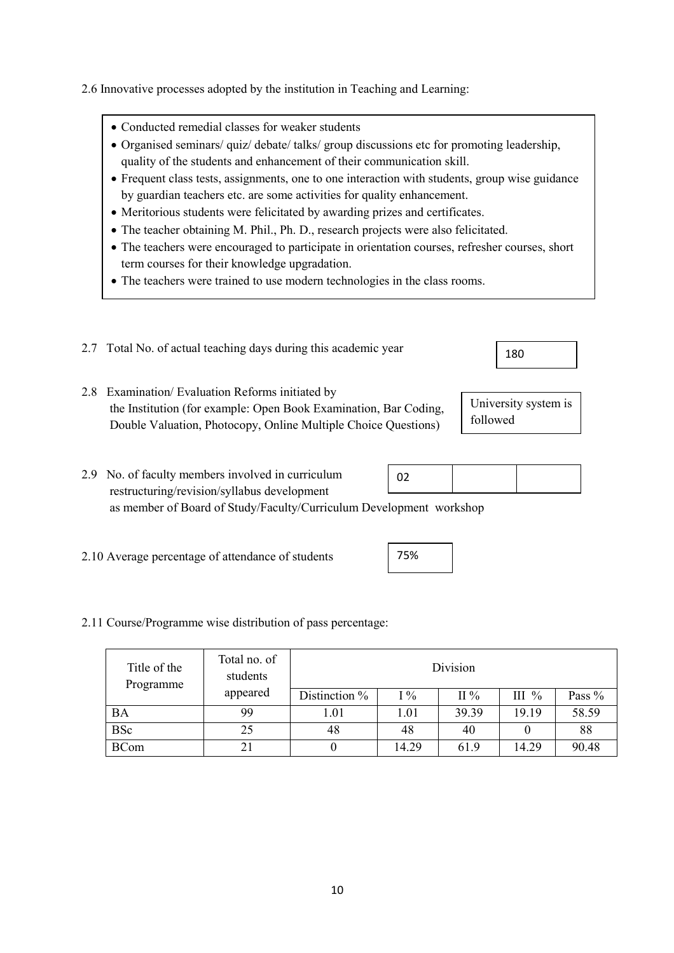- Conducted remedial classes for weaker students
- Organised seminars/ quiz/ debate/ talks/ group discussions etc for promoting leadership, quality of the students and enhancement of their communication skill.
- Frequent class tests, assignments, one to one interaction with students, group wise guidance by guardian teachers etc. are some activities for quality enhancement.
- Meritorious students were felicitated by awarding prizes and certificates.
- The teacher obtaining M. Phil., Ph. D., research projects were also felicitated.
- The teachers were encouraged to participate in orientation courses, refresher courses, short term courses for their knowledge upgradation.
- The teachers were trained to use modern technologies in the class rooms.
- 2.7 Total No. of actual teaching days during this academic year
- 2.8 Examination/ Evaluation Reforms initiated by the Institution (for example: Open Book Examination, Bar Coding, Double Valuation, Photocopy, Online Multiple Choice Questions)
- 2.9 No. of faculty members involved in curriculum restructuring/revision/syllabus development as member of Board of Study/Faculty/Curriculum Development workshop 02
- 2.10 Average percentage of attendance of students

### 2.11 Course/Programme wise distribution of pass percentage:

| Title of the<br>Programme | Total no. of<br>students |               |       | Division |          |        |
|---------------------------|--------------------------|---------------|-------|----------|----------|--------|
|                           | appeared                 | Distinction % | $1\%$ | II $%$   | III $\%$ | Pass % |
| BA                        | 99                       | 1.01          | 1.01  | 39.39    | 19.19    | 58.59  |
| <b>BSc</b>                | 25                       | 48            | 48    | 40       |          | 88     |
| <b>BCom</b>               | 2 <sub>1</sub>           |               | 14.29 | 61.9     | 14.29    | 90.48  |

75%

University system is followed

- 
- 

180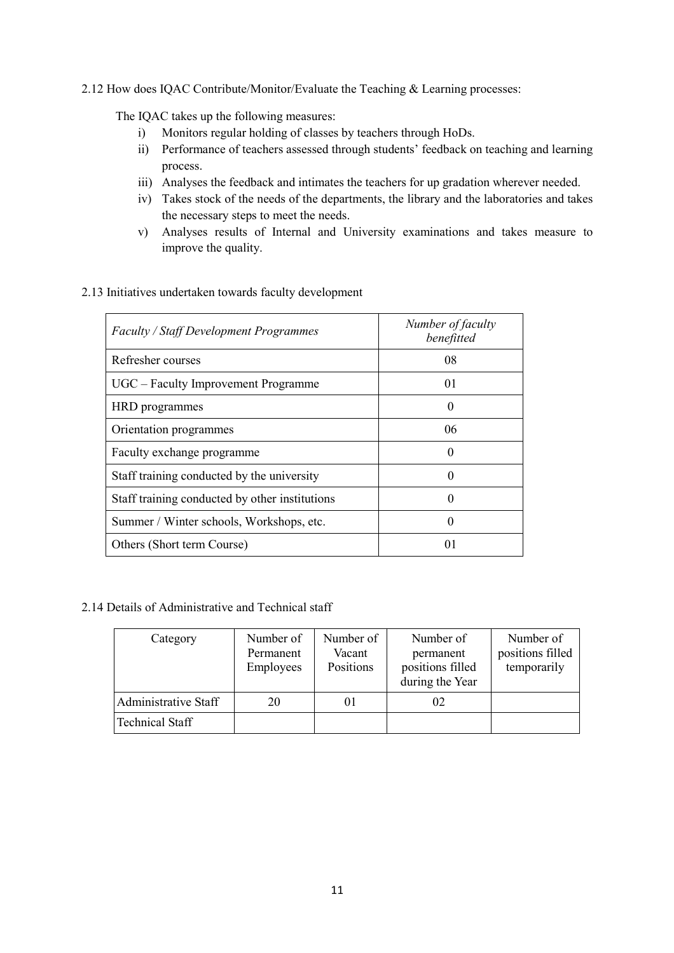### 2.12 How does IQAC Contribute/Monitor/Evaluate the Teaching & Learning processes:

The IQAC takes up the following measures:

- i) Monitors regular holding of classes by teachers through HoDs.
- ii) Performance of teachers assessed through students' feedback on teaching and learning process.
- iii) Analyses the feedback and intimates the teachers for up gradation wherever needed.
- iv) Takes stock of the needs of the departments, the library and the laboratories and takes the necessary steps to meet the needs.
- v) Analyses results of Internal and University examinations and takes measure to improve the quality.

# Faculty / Staff Development Programmes Number of faculty benefitted Refresher courses and the set of the courses of the contract of the contract of the contract of the contract of the contract of the contract of the contract of the contract of the contract of the contract of the contract o UGC – Faculty Improvement Programme 01 HRD programmes 0 Orientation programmes 06 Faculty exchange programme  $\vert$  0 Staff training conducted by the university 0 Staff training conducted by other institutions 0 Summer / Winter schools, Workshops, etc. 0 Others (Short term Course) 01

### 2.13 Initiatives undertaken towards faculty development

## 2.14 Details of Administrative and Technical staff

| Category               | Number of<br>Permanent<br>Employees | Number of<br>Vacant<br>Positions | Number of<br>permanent<br>positions filled<br>during the Year | Number of<br>positions filled<br>temporarily |
|------------------------|-------------------------------------|----------------------------------|---------------------------------------------------------------|----------------------------------------------|
| Administrative Staff   | 20                                  | 01                               | 02                                                            |                                              |
| <b>Technical Staff</b> |                                     |                                  |                                                               |                                              |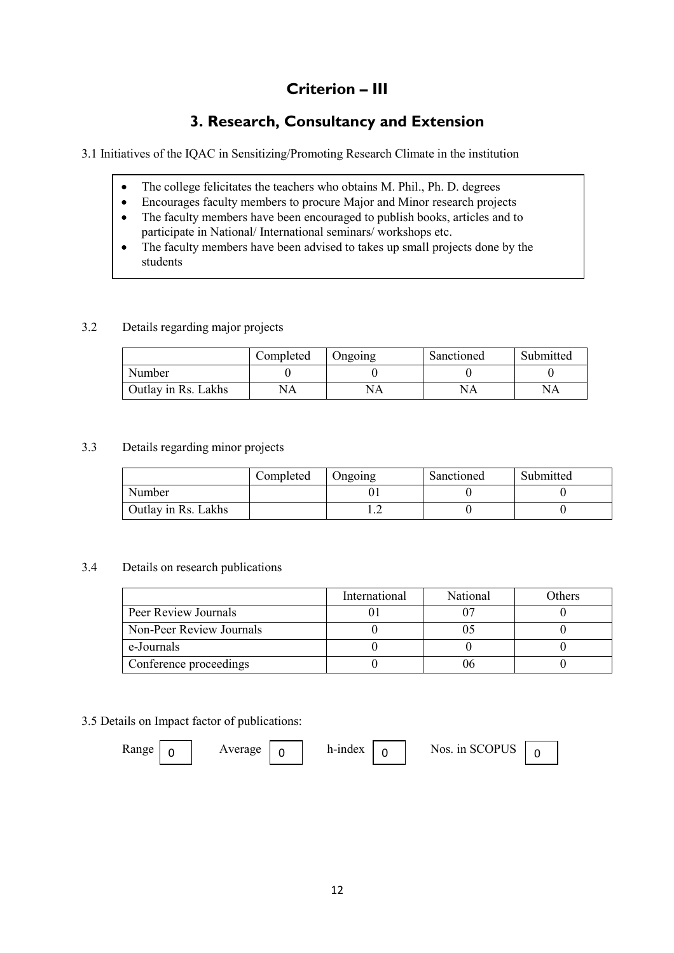# Criterion – III

# 3. Research, Consultancy and Extension

3.1 Initiatives of the IQAC in Sensitizing/Promoting Research Climate in the institution

- The college felicitates the teachers who obtains M. Phil., Ph. D. degrees
- Encourages faculty members to procure Major and Minor research projects
- The faculty members have been encouraged to publish books, articles and to participate in National/ International seminars/ workshops etc.
- The faculty members have been advised to takes up small projects done by the students

### 3.2 Details regarding major projects

|                     | Completed | Ongoing | Sanctioned | Submitted |
|---------------------|-----------|---------|------------|-----------|
| Number              |           |         |            |           |
| Outlay in Rs. Lakhs | NA        | NA      | NА         | NA        |

### 3.3 Details regarding minor projects

|                     | Completed | Ongoing | Sanctioned | Submitted |
|---------------------|-----------|---------|------------|-----------|
| Number              |           |         |            |           |
| Outlay in Rs. Lakhs |           | .       |            |           |

## 3.4 Details on research publications

|                          | International | <b>National</b> | Others |
|--------------------------|---------------|-----------------|--------|
| Peer Review Journals     |               |                 |        |
| Non-Peer Review Journals |               |                 |        |
| e-Journals               |               |                 |        |
| Conference proceedings   |               |                 |        |

### 3.5 Details on Impact factor of publications:

| <b>Range</b> | Average |  | h-index |  | Nos. in SCOPUS |  |
|--------------|---------|--|---------|--|----------------|--|
|--------------|---------|--|---------|--|----------------|--|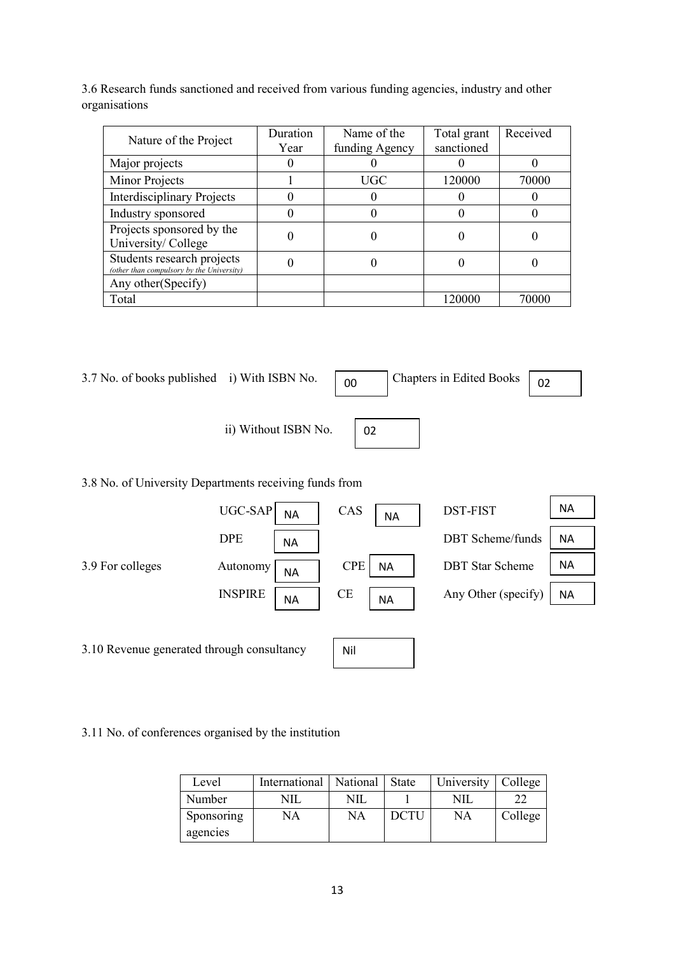3.6 Research funds sanctioned and received from various funding agencies, industry and other organisations

| Nature of the Project                                                   | Duration<br>Year | Name of the<br>funding Agency | Total grant<br>sanctioned | Received |
|-------------------------------------------------------------------------|------------------|-------------------------------|---------------------------|----------|
|                                                                         |                  |                               |                           |          |
| Major projects                                                          |                  |                               |                           |          |
| Minor Projects                                                          |                  | UGC                           | 120000                    | 70000    |
| <b>Interdisciplinary Projects</b>                                       |                  |                               |                           |          |
| Industry sponsored                                                      |                  |                               |                           |          |
| Projects sponsored by the<br>University/College                         |                  |                               |                           |          |
| Students research projects<br>(other than compulsory by the University) |                  |                               |                           |          |
| Any other (Specify)                                                     |                  |                               |                           |          |
| Total                                                                   |                  |                               | 120000                    | 70000    |

3.7 No. of books published i) With ISBN No.  $\begin{bmatrix} 0 & 0 \\ 0 & \end{bmatrix}$ 

Chapters in Edited Books  $\boxed{02}$ 

ii) Without ISBN No.

3.8 No. of University Departments receiving funds from



02

3.11 No. of conferences organised by the institution

| Level      | International   National |     | State | University | College |
|------------|--------------------------|-----|-------|------------|---------|
| Number     | NIL                      | NIL |       | NIL        |         |
| Sponsoring | NA                       | NA  | DCTU  | NA         | College |
| agencies   |                          |     |       |            |         |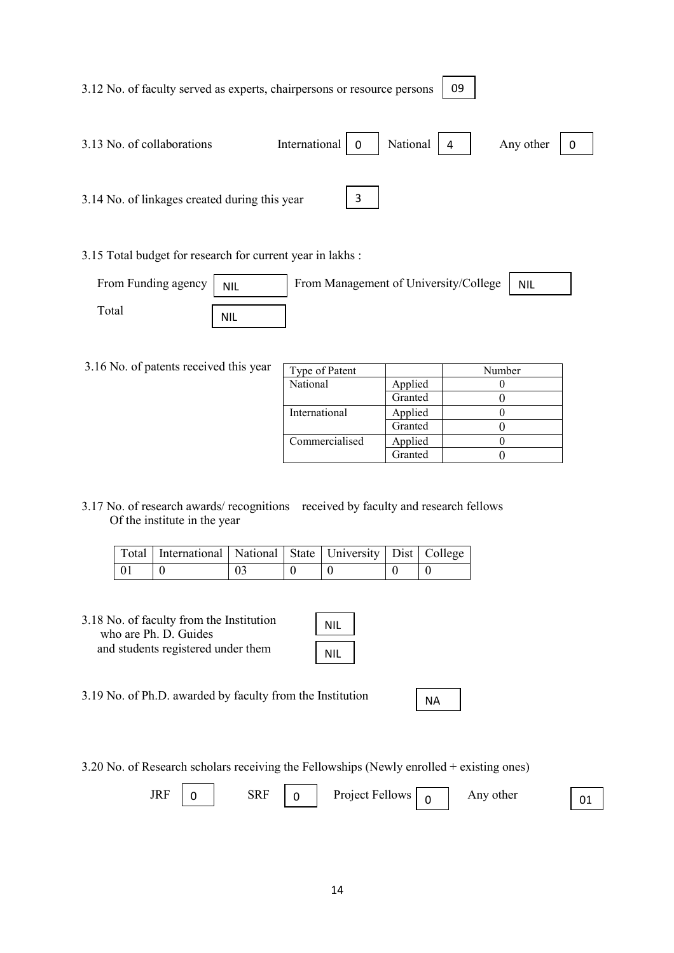| 3.13 No. of collaborations                                                                                                  | International   0                              | National<br>$\overline{4}$ | Any other | $\mathbf 0$ |
|-----------------------------------------------------------------------------------------------------------------------------|------------------------------------------------|----------------------------|-----------|-------------|
|                                                                                                                             |                                                |                            |           |             |
| 3.14 No. of linkages created during this year                                                                               |                                                | $\overline{3}$             |           |             |
|                                                                                                                             |                                                |                            |           |             |
| $\sim$<br>$\alpha$ $\alpha$ $\beta$ $\beta$ $\gamma$ $\beta$ $\gamma$ $\gamma$ $\gamma$ $\gamma$ $\gamma$ $\gamma$ $\gamma$ | 이 사이 시간 사이에 대한 사이에 대한 사이에 대한 사이에 대한 사이를 하고 있다. |                            |           |             |

3.15 Total budget for research for current year in lakhs :

3.12 No. of faculty served as experts, chairpersons or resource persons

| From Funding agency | <b>NIL</b> | From Management of University/College | NIL |
|---------------------|------------|---------------------------------------|-----|
| $_{\rm Total}$      | NIL        |                                       |     |

3.16 No. of patents received this year  $\sqrt{7}$ 

| Type of Patent |         | Number |
|----------------|---------|--------|
| National       | Applied |        |
|                | Granted |        |
| International  | Applied |        |
|                | Granted |        |
| Commercialised | Applied |        |
|                | Granted |        |

09

3.17 No. of research awards/ recognitions received by faculty and research fellows Of the institute in the year

|      | Total   International   National   State   University   Dist   College |    |  |  |
|------|------------------------------------------------------------------------|----|--|--|
| - 01 |                                                                        | 03 |  |  |

3.18 No. of faculty from the Institution who are Ph. D. Guides and students registered under them

| ٩IL |
|-----|
| ۱IL |

3.19 No. of Ph.D. awarded by faculty from the Institution

3.20 No. of Research scholars receiving the Fellowships (Newly enrolled + existing ones)

|  | <b>JRF</b> |  | SRF |  | Project Fellows |  | Any other | $\Omega$ |
|--|------------|--|-----|--|-----------------|--|-----------|----------|
|--|------------|--|-----|--|-----------------|--|-----------|----------|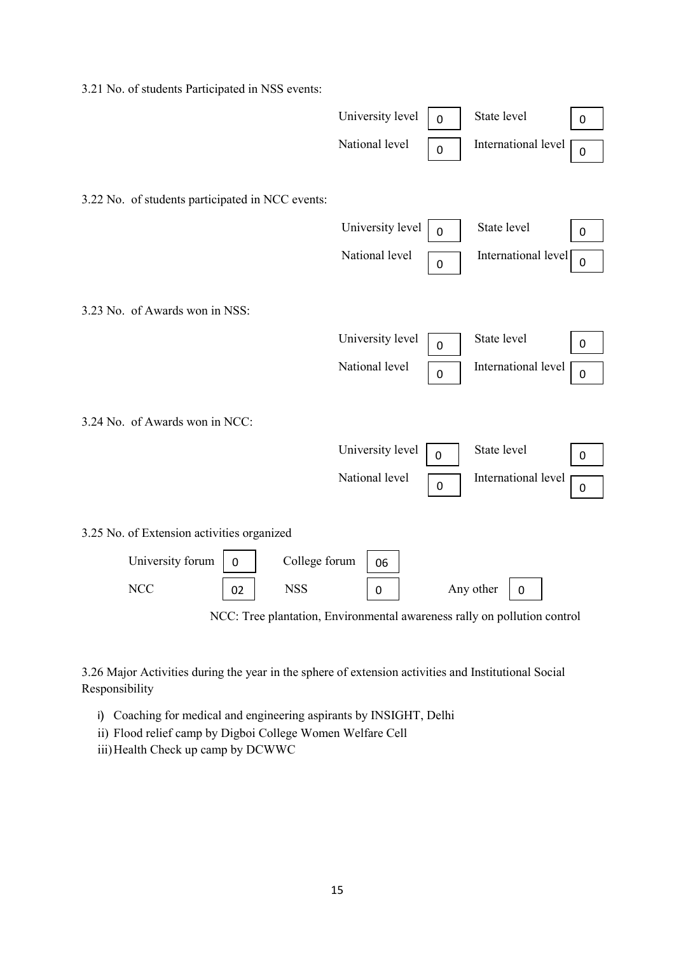3.21 No. of students Participated in NSS events:



3.26 Major Activities during the year in the sphere of extension activities and Institutional Social Responsibility

- i) Coaching for medical and engineering aspirants by INSIGHT, Delhi
- ii) Flood relief camp by Digboi College Women Welfare Cell
- iii) Health Check up camp by DCWWC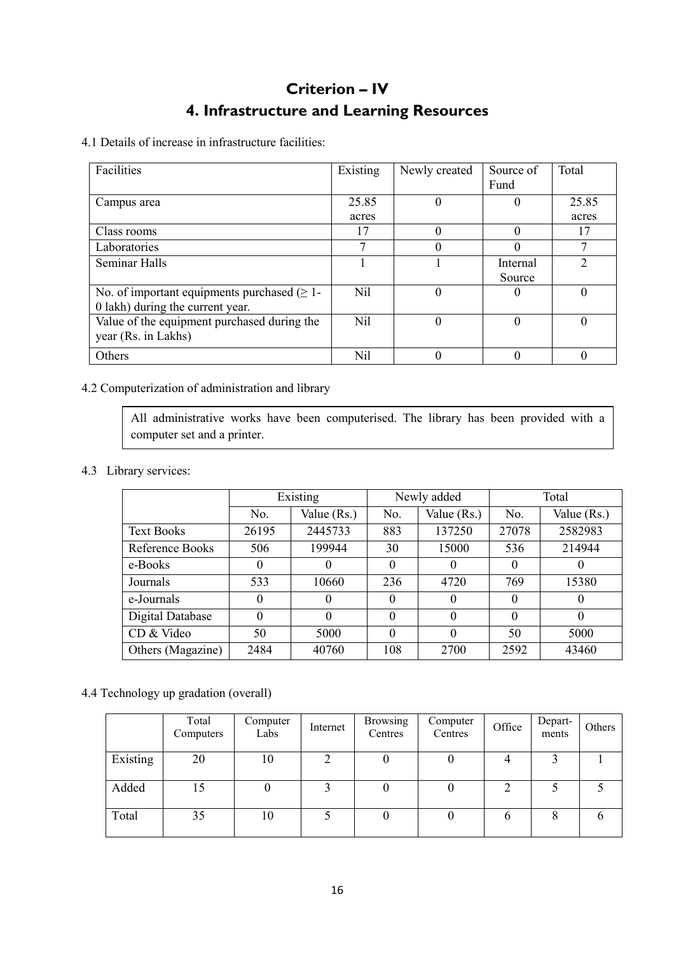# Criterion – IV 4. Infrastructure and Learning Resources

4.1 Details of increase in infrastructure facilities:

| Facilities                                        | Existing | Newly created | Source of | Total    |
|---------------------------------------------------|----------|---------------|-----------|----------|
|                                                   |          |               | Fund      |          |
| Campus area                                       | 25.85    | 0             | $\theta$  | 25.85    |
|                                                   | acres    |               |           | acres    |
| Class rooms                                       | 17       | 0             | $\theta$  | 17       |
| Laboratories                                      |          | 0             | $\left($  |          |
| <b>Seminar Halls</b>                              |          |               | Internal  |          |
|                                                   |          |               | Source    |          |
| No. of important equipments purchased $(\geq 1$ - | Nil      | 0             | $\theta$  | $\theta$ |
| 0 lakh) during the current year.                  |          |               |           |          |
| Value of the equipment purchased during the       | Nil      | 0             | $\left($  | 0        |
| year (Rs. in Lakhs)                               |          |               |           |          |
| Others                                            | Nil      | 0             |           |          |

# 4.2 Computerization of administration and library

All administrative works have been computerised. The library has been provided with a computer set and a printer.

# 4.3 Library services:

|                   | Existing |             |          | Newly added | Total    |             |
|-------------------|----------|-------------|----------|-------------|----------|-------------|
|                   | No.      | Value (Rs.) | No.      | Value (Rs.) | No.      | Value (Rs.) |
| <b>Text Books</b> | 26195    | 2445733     | 883      | 137250      | 27078    | 2582983     |
| Reference Books   | 506      | 199944      | 30       | 15000       | 536      | 214944      |
| e-Books           | 0        | O           | 0        |             | 0        | O           |
| Journals          | 533      | 10660       | 236      | 4720        | 769      | 15380       |
| e-Journals        | $\Omega$ | $\theta$    | $\Omega$ | $\theta$    | 0        | $\theta$    |
| Digital Database  | $\theta$ | $\Omega$    | 0        | $\Omega$    | $\theta$ | $\theta$    |
| CD & Video        | 50       | 5000        | $\theta$ | $\Omega$    | 50       | 5000        |
| Others (Magazine) | 2484     | 40760       | 108      | 2700        | 2592     | 43460       |

# 4.4 Technology up gradation (overall)

|          | Total<br>Computers | Computer<br>Labs | Internet | <b>Browsing</b><br>Centres | Computer<br>Centres | Office         | Depart-<br>ments | Others |
|----------|--------------------|------------------|----------|----------------------------|---------------------|----------------|------------------|--------|
| Existing | 20                 | 10               | ົ        | 0                          | v                   |                |                  |        |
| Added    | 15                 |                  |          | $\theta$                   |                     | $\overline{2}$ |                  |        |
| Total    | 35                 | 10               |          |                            |                     | b              |                  |        |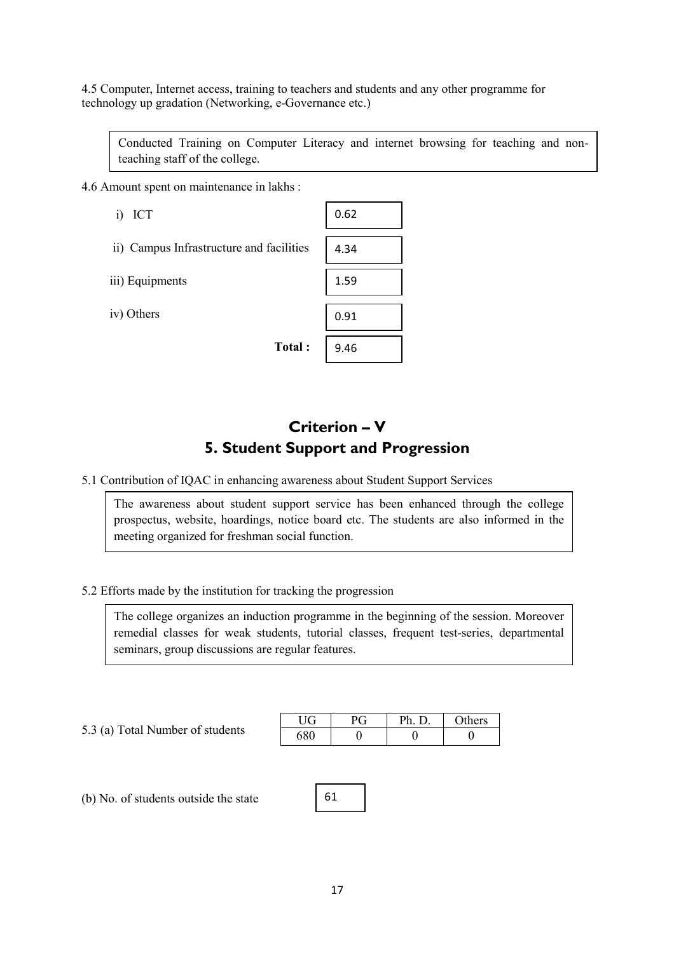4.5 Computer, Internet access, training to teachers and students and any other programme for technology up gradation (Networking, e-Governance etc.)

Conducted Training on Computer Literacy and internet browsing for teaching and nonteaching staff of the college.

4.6 Amount spent on maintenance in lakhs :

| ICT<br>1)                                | 0.62 |
|------------------------------------------|------|
| ii) Campus Infrastructure and facilities | 4.34 |
| iii) Equipments                          | 1.59 |
| iv) Others                               | 0.91 |
| Total:                                   | 9.46 |

# Criterion – V 5. Student Support and Progression

5.1 Contribution of IQAC in enhancing awareness about Student Support Services

The awareness about student support service has been enhanced through the college prospectus, website, hoardings, notice board etc. The students are also informed in the meeting organized for freshman social function.

5.2 Efforts made by the institution for tracking the progression

The college organizes an induction programme in the beginning of the session. Moreover remedial classes for weak students, tutorial classes, frequent test-series, departmental seminars, group discussions are regular features.

5.3 (a) Total Number of students

|  | Ph. D | <b>Others</b> |
|--|-------|---------------|
|  |       |               |

(b) No. of students outside the state

61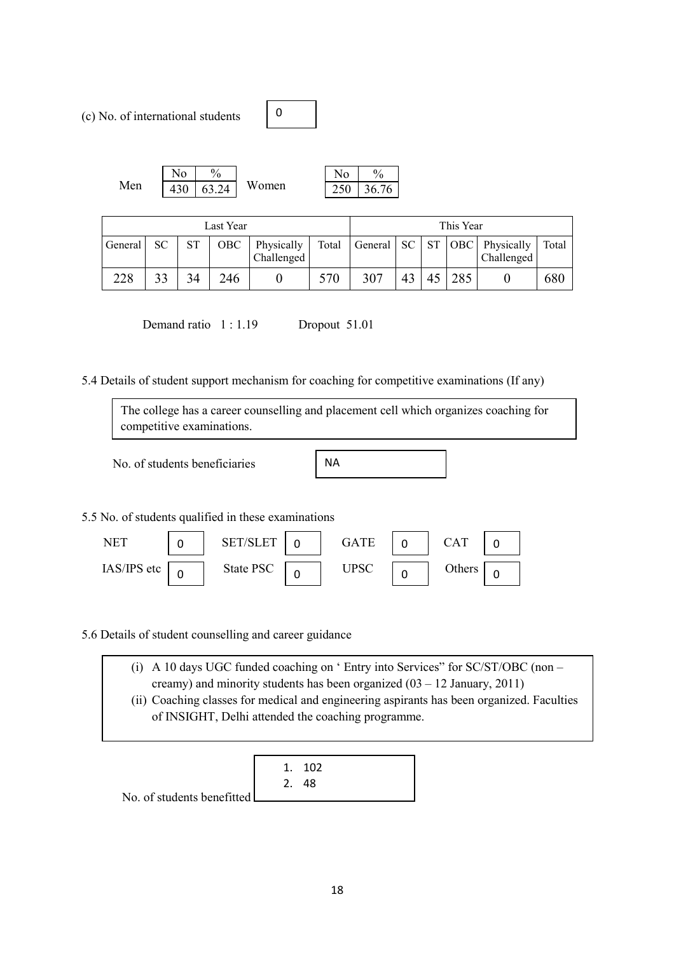(c) No. of international students



|     | <b>TT</b>  | $\frac{0}{0}$         |       | 'Μ<br>N٥                    | $\frac{0}{0}$ |
|-----|------------|-----------------------|-------|-----------------------------|---------------|
| Men | 430<br>45∪ | 63.24<br>53.<br>- ∠ ⊤ | Women | $\sim$ $\sim$ $\sim$<br>∠⊃∪ | 76<br>ろわ      |

| Last Year |           |    |       | This Year                |       |         |     |           |            |                          |       |
|-----------|-----------|----|-------|--------------------------|-------|---------|-----|-----------|------------|--------------------------|-------|
| General   | <b>SC</b> | SТ | OBC . | Physically<br>Challenged | Total | General | SC. | <b>ST</b> | <b>OBC</b> | Physically<br>Challenged | Total |
| 228       | 33        |    | 246   |                          | 570   | 307     | 43  | 45        | 285        |                          | 680   |

Demand ratio  $1:1.19$  Dropout 51.01

5.4 Details of student support mechanism for coaching for competitive examinations (If any)

0

|             | competitive examinations.     | The college has a career counselling and placement cell which organizes coaching for |           |             |          |            |          |  |
|-------------|-------------------------------|--------------------------------------------------------------------------------------|-----------|-------------|----------|------------|----------|--|
|             | No. of students beneficiaries |                                                                                      | <b>NA</b> |             |          |            |          |  |
|             |                               | 5.5 No. of students qualified in these examinations                                  |           |             |          |            |          |  |
| <b>NET</b>  | 0                             | <b>SET/SLET</b><br>0                                                                 |           | <b>GATE</b> | $\Omega$ | <b>CAT</b> | $\Omega$ |  |
| IAS/IPS etc |                               | State PSC                                                                            |           | <b>UPSC</b> | n        | Others     |          |  |

5.6 Details of student counselling and career guidance

0

| (i) A 10 days UGC funded coaching on $\degree$ Entry into Services" for SC/ST/OBC (non –  |
|-------------------------------------------------------------------------------------------|
| creamy) and minority students has been organized $(03 - 12$ January, 2011)                |
| (ii) Coaching classes for medical and engineering aspirants has been organized. Faculties |
| of INSIGHT, Delhi attended the coaching programme.                                        |

0

0

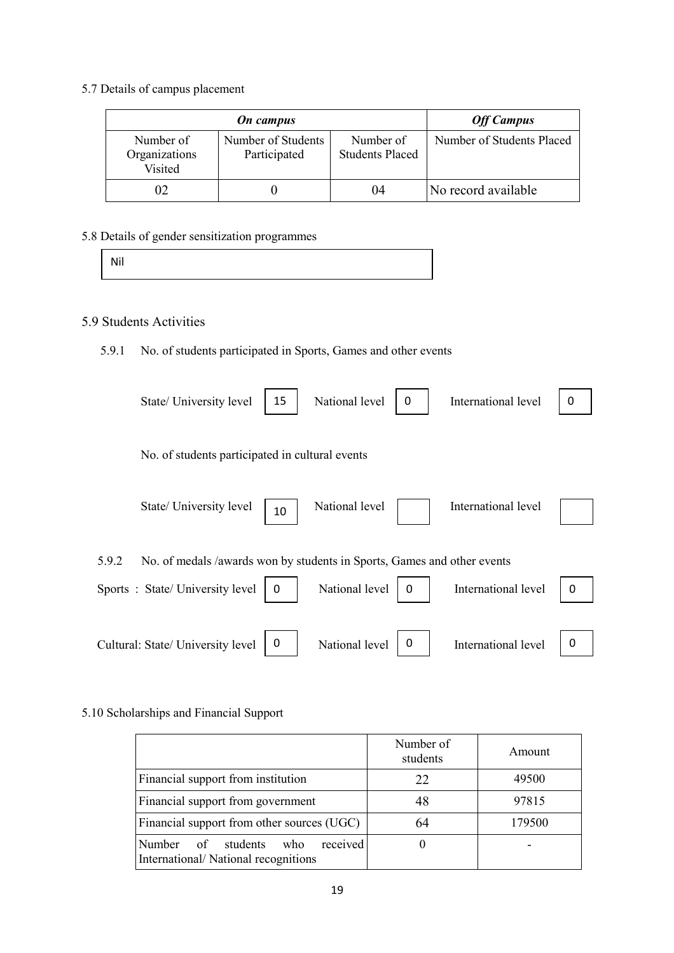5.7 Details of campus placement

|                                       | <b>Off Campus</b>                  |                                     |                           |
|---------------------------------------|------------------------------------|-------------------------------------|---------------------------|
| Number of<br>Organizations<br>Visited | Number of Students<br>Participated | Number of<br><b>Students Placed</b> | Number of Students Placed |
| 02                                    |                                    | 04                                  | No record available       |

5.8 Details of gender sensitization programmes

|  | Mil |  |
|--|-----|--|
|--|-----|--|

# 5.9 Students Activities

# 5.9.1 No. of students participated in Sports, Games and other events

| State/ University level                                                                                            | 15 | National level | 0 | International level | 0 |
|--------------------------------------------------------------------------------------------------------------------|----|----------------|---|---------------------|---|
| No. of students participated in cultural events                                                                    |    |                |   |                     |   |
| State/ University level                                                                                            | 10 | National level |   | International level |   |
| No. of medals /awards won by students in Sports, Games and other events<br>5.9.2<br>Sports: State/University level | 0  | National level | 0 | International level | 0 |
| Cultural: State/ University level                                                                                  | 0  | National level | 0 | International level | 0 |

## 5.10 Scholarships and Financial Support

|                                                                                         | Number of<br>students | Amount |
|-----------------------------------------------------------------------------------------|-----------------------|--------|
| Financial support from institution                                                      | 22                    | 49500  |
| Financial support from government                                                       | 48                    | 97815  |
| Financial support from other sources (UGC)                                              | 64                    | 179500 |
| received<br><b>Number</b><br>of students<br>who.<br>International/National recognitions | O                     |        |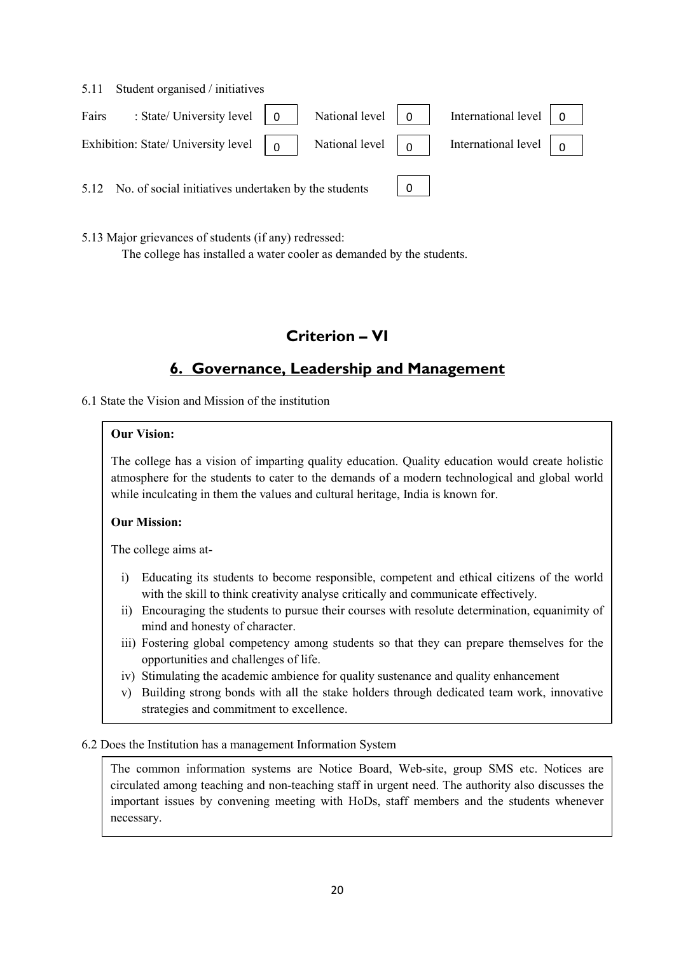|       | 5.11 Student organised / initiatives                                                                                                                                                                                                                               |  |              |                                                            |  |
|-------|--------------------------------------------------------------------------------------------------------------------------------------------------------------------------------------------------------------------------------------------------------------------|--|--------------|------------------------------------------------------------|--|
| Fairs | : State/ University level $\begin{bmatrix} 0 \\ 1 \end{bmatrix}$ National level $\begin{bmatrix} 0 \\ 1 \end{bmatrix}$                                                                                                                                             |  |              | International level $\begin{bmatrix} 0 \\ 0 \end{bmatrix}$ |  |
|       | Exhibition: State/ University level $\begin{array}{ c c c c c } \hline 0 & \hline 0 & \hline \end{array}$ National level $\begin{array}{ c c c c c } \hline 0 & \hline \end{array}$ International level $\begin{array}{ c c c c c } \hline 0 & \hline \end{array}$ |  |              |                                                            |  |
|       | 5.12 No. of social initiatives undertaken by the students                                                                                                                                                                                                          |  | $\mathbf{0}$ |                                                            |  |

5.13 Major grievances of students (if any) redressed:

The college has installed a water cooler as demanded by the students.

# Criterion – VI

# 6. Governance, Leadership and Management

6.1 State the Vision and Mission of the institution

## Our Vision:

The college has a vision of imparting quality education. Quality education would create holistic atmosphere for the students to cater to the demands of a modern technological and global world while inculcating in them the values and cultural heritage, India is known for.

# Our Mission:

The college aims at-

- i) Educating its students to become responsible, competent and ethical citizens of the world with the skill to think creativity analyse critically and communicate effectively.
- ii) Encouraging the students to pursue their courses with resolute determination, equanimity of mind and honesty of character.
- iii) Fostering global competency among students so that they can prepare themselves for the opportunities and challenges of life.
- iv) Stimulating the academic ambience for quality sustenance and quality enhancement
- v) Building strong bonds with all the stake holders through dedicated team work, innovative strategies and commitment to excellence.

## 6.2 Does the Institution has a management Information System

The common information systems are Notice Board, Web-site, group SMS etc. Notices are circulated among teaching and non-teaching staff in urgent need. The authority also discusses the important issues by convening meeting with HoDs, staff members and the students whenever necessary.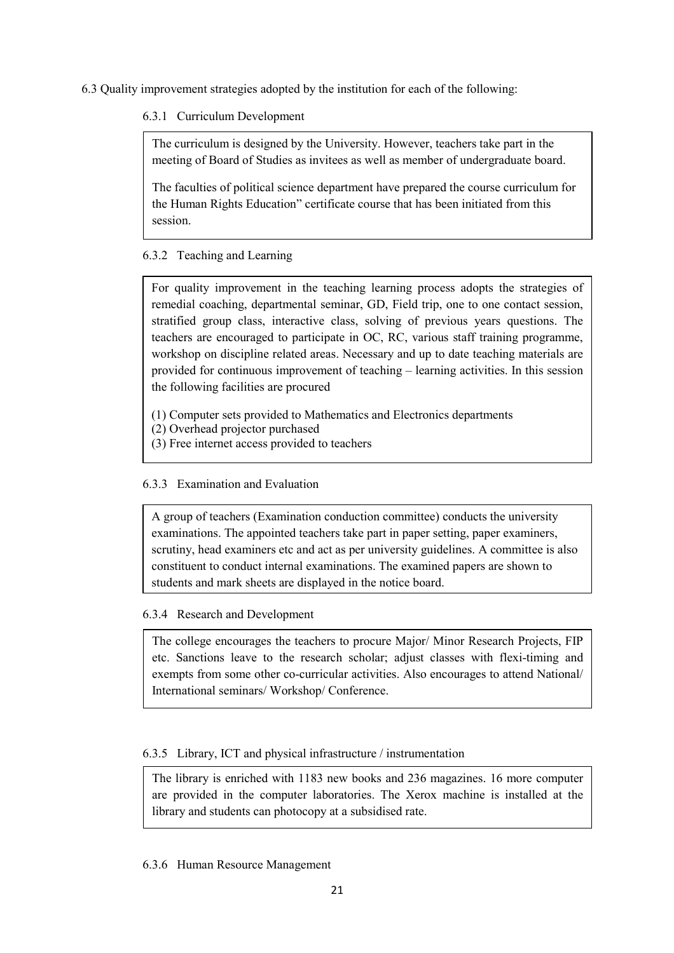6.3 Quality improvement strategies adopted by the institution for each of the following:

6.3.1 Curriculum Development

The curriculum is designed by the University. However, teachers take part in the meeting of Board of Studies as invitees as well as member of undergraduate board.

The faculties of political science department have prepared the course curriculum for the Human Rights Education" certificate course that has been initiated from this session.

6.3.2 Teaching and Learning

For quality improvement in the teaching learning process adopts the strategies of remedial coaching, departmental seminar, GD, Field trip, one to one contact session, stratified group class, interactive class, solving of previous years questions. The teachers are encouraged to participate in OC, RC, various staff training programme, workshop on discipline related areas. Necessary and up to date teaching materials are provided for continuous improvement of teaching – learning activities. In this session the following facilities are procured

(1) Computer sets provided to Mathematics and Electronics departments

- (2) Overhead projector purchased
- (3) Free internet access provided to teachers

# 6.3.3 Examination and Evaluation

A group of teachers (Examination conduction committee) conducts the university examinations. The appointed teachers take part in paper setting, paper examiners, scrutiny, head examiners etc and act as per university guidelines. A committee is also constituent to conduct internal examinations. The examined papers are shown to students and mark sheets are displayed in the notice board.

## 6.3.4 Research and Development

The college encourages the teachers to procure Major/ Minor Research Projects, FIP etc. Sanctions leave to the research scholar; adjust classes with flexi-timing and exempts from some other co-curricular activities. Also encourages to attend National/ International seminars/ Workshop/ Conference.

6.3.5 Library, ICT and physical infrastructure / instrumentation

The library is enriched with 1183 new books and 236 magazines. 16 more computer are provided in the computer laboratories. The Xerox machine is installed at the library and students can photocopy at a subsidised rate.

## 6.3.6 Human Resource Management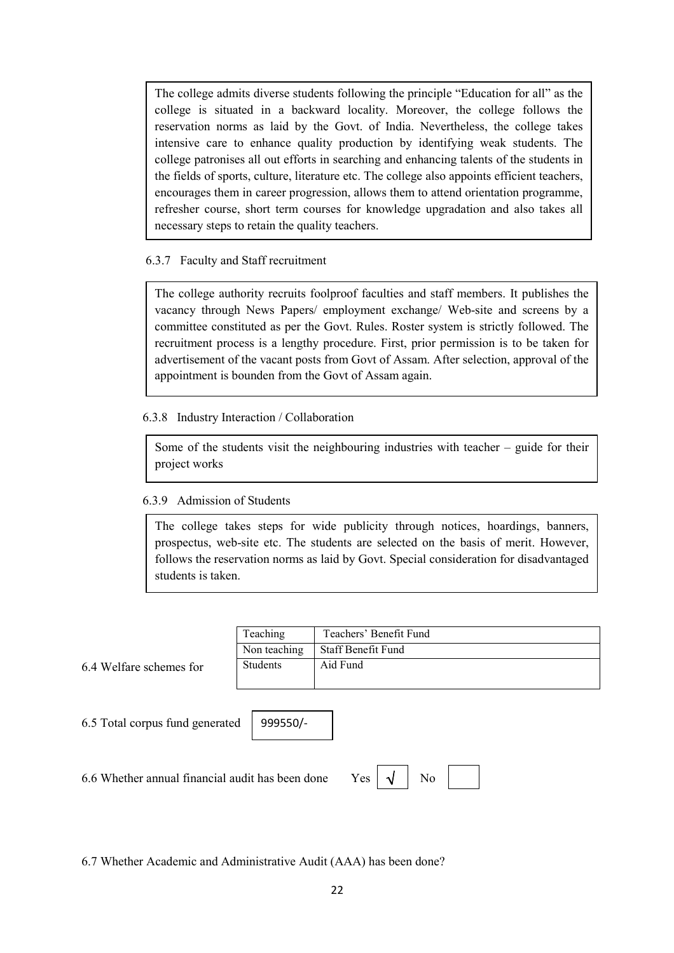The college admits diverse students following the principle "Education for all" as the college is situated in a backward locality. Moreover, the college follows the reservation norms as laid by the Govt. of India. Nevertheless, the college takes intensive care to enhance quality production by identifying weak students. The college patronises all out efforts in searching and enhancing talents of the students in the fields of sports, culture, literature etc. The college also appoints efficient teachers, encourages them in career progression, allows them to attend orientation programme, refresher course, short term courses for knowledge upgradation and also takes all necessary steps to retain the quality teachers.

## 6.3.7 Faculty and Staff recruitment

The college authority recruits foolproof faculties and staff members. It publishes the vacancy through News Papers/ employment exchange/ Web-site and screens by a committee constituted as per the Govt. Rules. Roster system is strictly followed. The recruitment process is a lengthy procedure. First, prior permission is to be taken for advertisement of the vacant posts from Govt of Assam. After selection, approval of the appointment is bounden from the Govt of Assam again.

6.3.8 Industry Interaction / Collaboration

Some of the students visit the neighbouring industries with teacher – guide for their project works

# 6.3.9 Admission of Students

The college takes steps for wide publicity through notices, hoardings, banners, prospectus, web-site etc. The students are selected on the basis of merit. However, follows the reservation norms as laid by Govt. Special consideration for disadvantaged students is taken.

 $Yes \mid \sqrt{}$  | No | |

|                                                                                | Teaching     | Teachers' Benefit Fund |  |  |  |  |
|--------------------------------------------------------------------------------|--------------|------------------------|--|--|--|--|
|                                                                                | Non teaching | Staff Benefit Fund     |  |  |  |  |
| 6.4 Welfare schemes for                                                        | Students     | Aid Fund               |  |  |  |  |
|                                                                                |              |                        |  |  |  |  |
| 6.5 Total corpus fund generated<br>999550/-                                    |              |                        |  |  |  |  |
| N <sub>0</sub><br>6.6 Whether annual financial audit has been done<br>Yes<br>N |              |                        |  |  |  |  |

6.7 Whether Academic and Administrative Audit (AAA) has been done?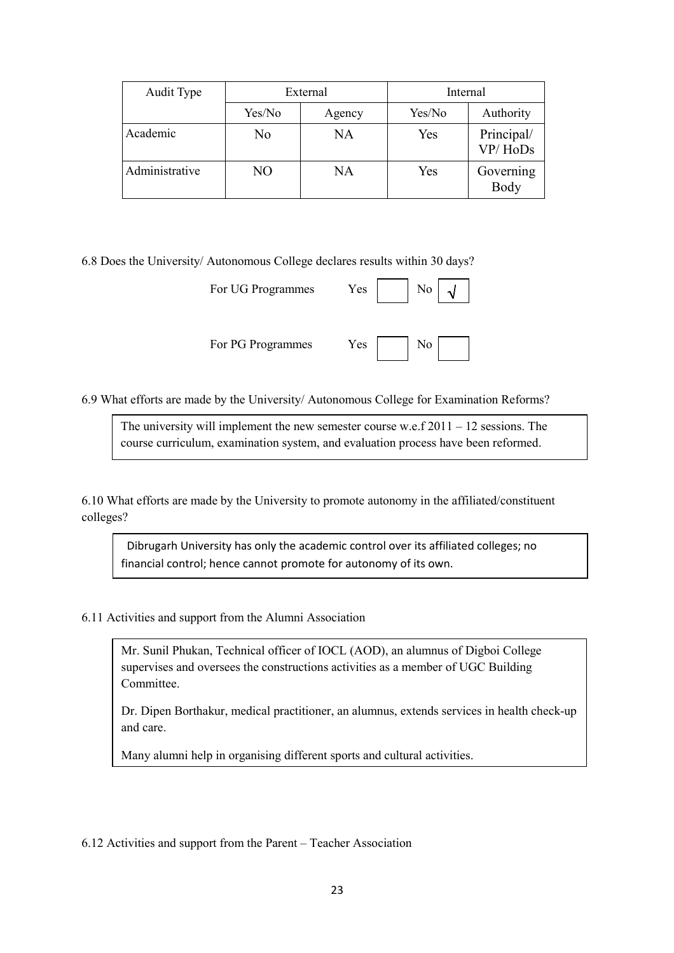| Audit Type     |        | External | Internal |                       |  |
|----------------|--------|----------|----------|-----------------------|--|
|                | Yes/No | Agency   | Yes/No   | Authority             |  |
| Academic       | No     | NA       | Yes      | Principal/<br>VP/HoDs |  |
| Administrative | NO     | NA       | Yes      | Governing<br>Body     |  |

6.8 Does the University/ Autonomous College declares results within 30 days?

| For UG Programmes | Yes<br>No             |
|-------------------|-----------------------|
| For PG Programmes | Yes<br>N <sub>0</sub> |

6.9 What efforts are made by the University/ Autonomous College for Examination Reforms?

The university will implement the new semester course w.e.f 2011 – 12 sessions. The course curriculum, examination system, and evaluation process have been reformed.

6.10 What efforts are made by the University to promote autonomy in the affiliated/constituent colleges?

 Dibrugarh University has only the academic control over its affiliated colleges; no financial control; hence cannot promote for autonomy of its own.

6.11 Activities and support from the Alumni Association

Mr. Sunil Phukan, Technical officer of IOCL (AOD), an alumnus of Digboi College supervises and oversees the constructions activities as a member of UGC Building Committee.

Dr. Dipen Borthakur, medical practitioner, an alumnus, extends services in health check-up and care.

Many alumni help in organising different sports and cultural activities.

6.12 Activities and support from the Parent – Teacher Association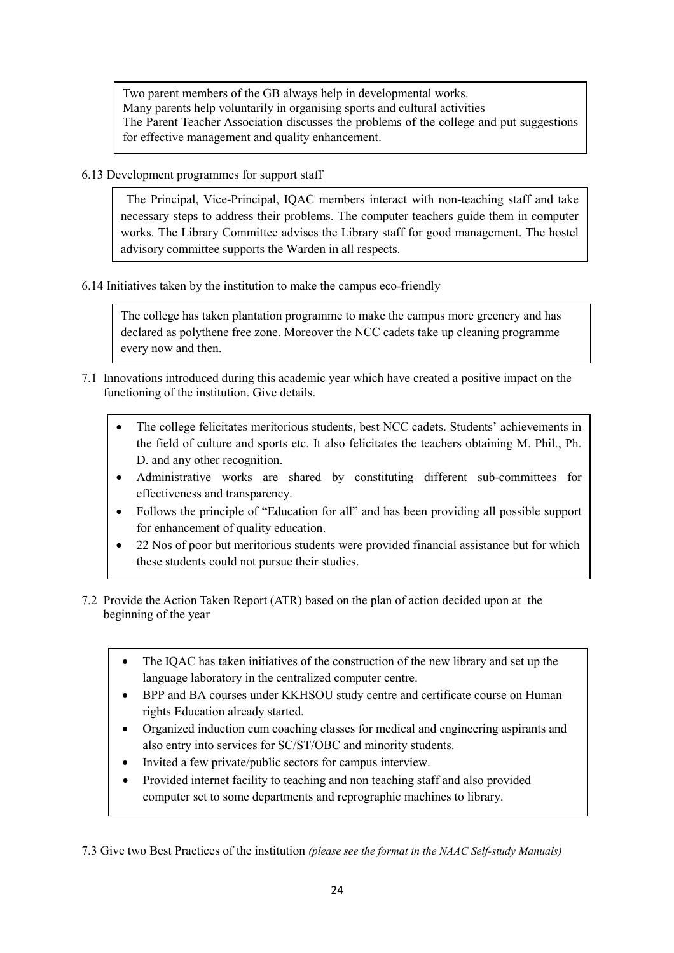Two parent members of the GB always help in developmental works. Many parents help voluntarily in organising sports and cultural activities The Parent Teacher Association discusses the problems of the college and put suggestions for effective management and quality enhancement.

6.13 Development programmes for support staff

 The Principal, Vice-Principal, IQAC members interact with non-teaching staff and take necessary steps to address their problems. The computer teachers guide them in computer works. The Library Committee advises the Library staff for good management. The hostel advisory committee supports the Warden in all respects.

6.14 Initiatives taken by the institution to make the campus eco-friendly

The college has taken plantation programme to make the campus more greenery and has  $2n.$ declared as polythene free zone. Moreover the NCC cadets take up cleaning programme every now and then.

- 7.1 Innovations introduced during this academic year which have created a positive impact on the functioning of the institution. Give details.
	- The college felicitates meritorious students, best NCC cadets. Students' achievements in the field of culture and sports etc. It also felicitates the teachers obtaining M. Phil., Ph. D. and any other recognition.
	- Administrative works are shared by constituting different sub-committees for effectiveness and transparency.
	- Follows the principle of "Education for all" and has been providing all possible support for enhancement of quality education.
	- 22 Nos of poor but meritorious students were provided financial assistance but for which these students could not pursue their studies.
- 7.2 Provide the Action Taken Report (ATR) based on the plan of action decided upon at the beginning of the year
	- The IQAC has taken initiatives of the construction of the new library and set up the language laboratory in the centralized computer centre.
	- BPP and BA courses under KKHSOU study centre and certificate course on Human rights Education already started.
	- Organized induction cum coaching classes for medical and engineering aspirants and also entry into services for SC/ST/OBC and minority students.
	- Invited a few private/public sectors for campus interview.
	- Provided internet facility to teaching and non teaching staff and also provided computer set to some departments and reprographic machines to library.

7.3 Give two Best Practices of the institution (please see the format in the NAAC Self-study Manuals)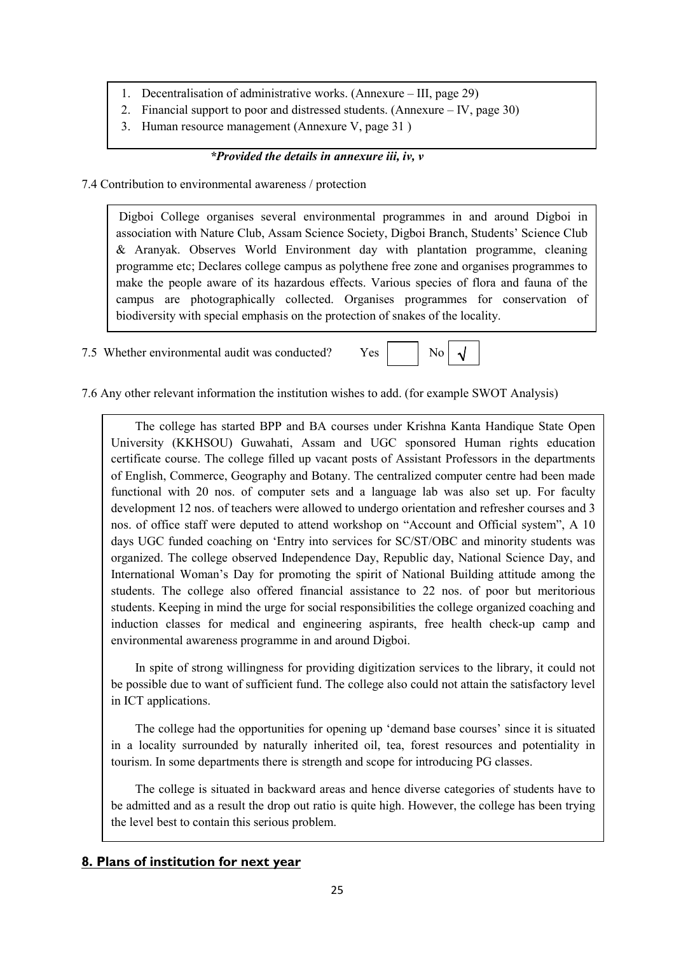- 1. Decentralisation of administrative works. (Annexure III, page 29)
- 2. Financial support to poor and distressed students. (Annexure IV, page 30)
- 3. Human resource management (Annexure V, page 31 )

## \*Provided the details in annexure iii, iv, v

7.4 Contribution to environmental awareness / protection

Digboi College organises several environmental programmes in and around Digboi in association with Nature Club, Assam Science Society, Digboi Branch, Students' Science Club & Aranyak. Observes World Environment day with plantation programme, cleaning programme etc; Declares college campus as polythene free zone and organises programmes to make the people aware of its hazardous effects. Various species of flora and fauna of the campus are photographically collected. Organises programmes for conservation of biodiversity with special emphasis on the protection of snakes of the locality.

7.5 Whether environmental audit was conducted? Yes No



7.6 Any other relevant information the institution wishes to add. (for example SWOT Analysis)

 The college has started BPP and BA courses under Krishna Kanta Handique State Open University (KKHSOU) Guwahati, Assam and UGC sponsored Human rights education certificate course. The college filled up vacant posts of Assistant Professors in the departments of English, Commerce, Geography and Botany. The centralized computer centre had been made functional with 20 nos. of computer sets and a language lab was also set up. For faculty development 12 nos. of teachers were allowed to undergo orientation and refresher courses and 3 nos. of office staff were deputed to attend workshop on "Account and Official system", A 10 days UGC funded coaching on 'Entry into services for SC/ST/OBC and minority students was organized. The college observed Independence Day, Republic day, National Science Day, and International Woman's Day for promoting the spirit of National Building attitude among the students. The college also offered financial assistance to 22 nos. of poor but meritorious students. Keeping in mind the urge for social responsibilities the college organized coaching and induction classes for medical and engineering aspirants, free health check-up camp and environmental awareness programme in and around Digboi.

 In spite of strong willingness for providing digitization services to the library, it could not be possible due to want of sufficient fund. The college also could not attain the satisfactory level in ICT applications.

 The college had the opportunities for opening up 'demand base courses' since it is situated in a locality surrounded by naturally inherited oil, tea, forest resources and potentiality in tourism. In some departments there is strength and scope for introducing PG classes.

 The college is situated in backward areas and hence diverse categories of students have to be admitted and as a result the drop out ratio is quite high. However, the college has been trying the level best to contain this serious problem.

# 8. Plans of institution for next year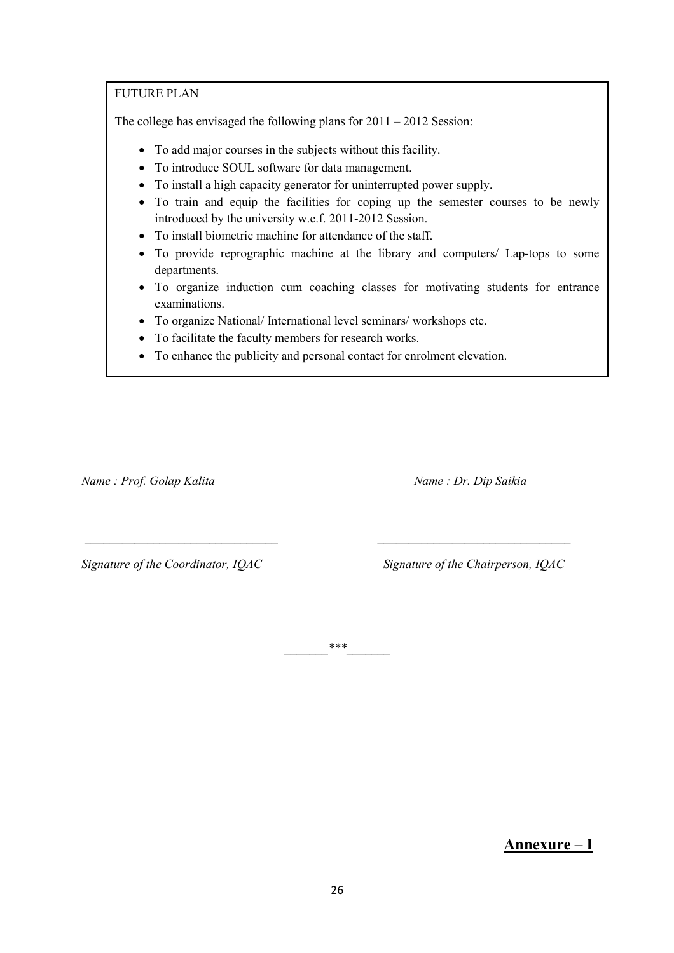## FUTURE PLAN

The college has envisaged the following plans for 2011 – 2012 Session:

- To add major courses in the subjects without this facility.
- To introduce SOUL software for data management.
- To install a high capacity generator for uninterrupted power supply.
- To train and equip the facilities for coping up the semester courses to be newly introduced by the university w.e.f. 2011-2012 Session.
- To install biometric machine for attendance of the staff.
- To provide reprographic machine at the library and computers/ Lap-tops to some departments.
- To organize induction cum coaching classes for motivating students for entrance examinations.
- To organize National/ International level seminars/ workshops etc.
- To facilitate the faculty members for research works.
- To enhance the publicity and personal contact for enrolment elevation.

Name : Prof. Golap Kalita Name : Dr. Dip Saikia

Signature of the Coordinator, IQAC Signature of the Chairperson, IQAC

\_\_\_\_\_\_\_\*\*\*\_\_\_\_\_\_\_

\_\_\_\_\_\_\_\_\_\_\_\_\_\_\_\_\_\_\_\_\_\_\_\_\_\_\_\_\_\_\_ \_\_\_\_\_\_\_\_\_\_\_\_\_\_\_\_\_\_\_\_\_\_\_\_\_\_\_\_\_\_\_

Annexure – I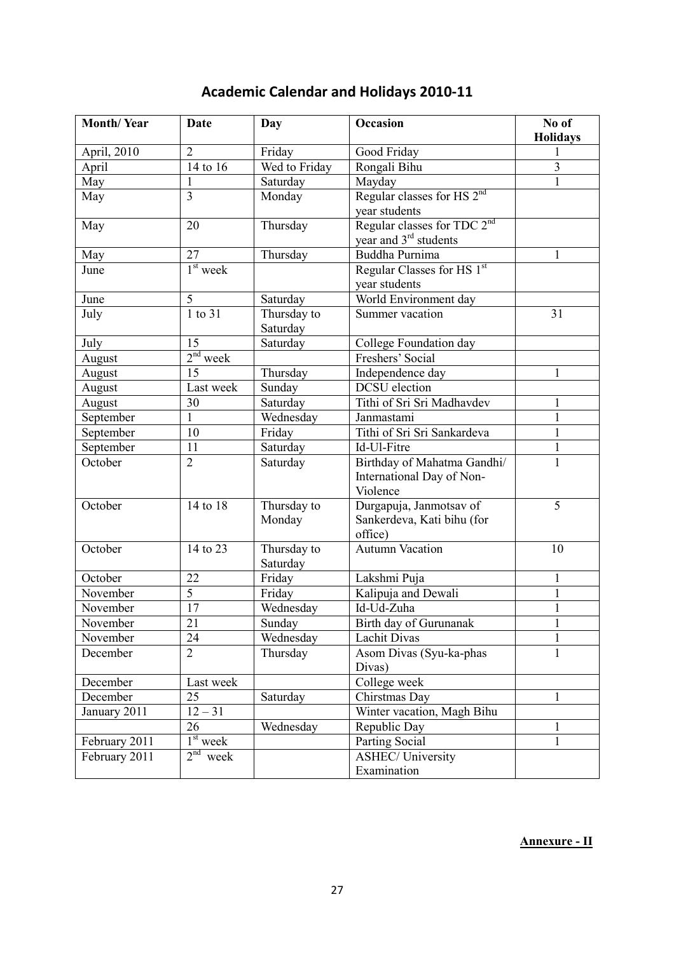| <b>Month/Year</b> | Date                               | Day           | Occasion                                                 | No of<br><b>Holidays</b> |
|-------------------|------------------------------------|---------------|----------------------------------------------------------|--------------------------|
| April, 2010       | $\overline{2}$                     | Friday        | Good Friday                                              |                          |
| April             | $\overline{14}$ to $\overline{16}$ | Wed to Friday | Rongali Bihu                                             | 3                        |
| May               | $\mathbf{1}$                       | Saturday      | Mayday                                                   | 1                        |
| May               | $\overline{3}$                     | Monday        | Regular classes for HS 2 <sup>nd</sup>                   |                          |
|                   |                                    |               | year students                                            |                          |
| May               | 20                                 | Thursday      | Regular classes for TDC 2 <sup>nd</sup>                  |                          |
|                   |                                    |               | year and 3 <sup>rd</sup> students                        |                          |
| May               | 27                                 | Thursday      | <b>Buddha Purnima</b>                                    |                          |
| June              | $1st$ week                         |               | Regular Classes for HS 1st                               |                          |
|                   |                                    |               | year students                                            |                          |
| June              | 5                                  | Saturday      | World Environment day                                    |                          |
| July              | 1 to 31                            | Thursday to   | Summer vacation                                          | 31                       |
|                   |                                    | Saturday      |                                                          |                          |
| July              | 15                                 | Saturday      | College Foundation day                                   |                          |
| August            | $2nd$ week                         |               | Freshers' Social                                         |                          |
| August            | 15                                 | Thursday      | Independence day                                         | 1                        |
| August            | Last week                          | Sunday        | <b>DCSU</b> election                                     |                          |
| August            | 30                                 | Saturday      | Tithi of Sri Sri Madhavdev                               | 1                        |
| September         | $\mathbf{1}$                       | Wednesday     | Janmastami                                               | 1                        |
| September         | 10                                 | Friday        | Tithi of Sri Sri Sankardeva                              | 1                        |
| September         | 11                                 | Saturday      | Id-Ul-Fitre                                              | 1                        |
| October           | $\overline{2}$                     | Saturday      | Birthday of Mahatma Gandhi/<br>International Day of Non- |                          |
|                   |                                    |               | Violence                                                 |                          |
| October           | 14 to 18                           | Thursday to   | Durgapuja, Janmotsav of                                  | 5                        |
|                   |                                    | Monday        | Sankerdeva, Kati bihu (for                               |                          |
|                   |                                    |               | office)                                                  |                          |
| October           | 14 to 23                           | Thursday to   | <b>Autumn Vacation</b>                                   | 10                       |
|                   |                                    | Saturday      |                                                          |                          |
| October           | 22                                 | Friday        | Lakshmi Puja                                             | 1                        |
| November          | $\overline{5}$                     | Friday        | Kalipuja and Dewali                                      | 1                        |
| November          | 17                                 | Wednesday     | Id-Ud-Zuha                                               | 1                        |
| November          | $\overline{21}$                    | Sunday        | Birth day of Gurunanak                                   | 1                        |
| November          | 24                                 | Wednesday     | Lachit Divas                                             |                          |
| December          | $\overline{2}$                     | Thursday      | Asom Divas (Syu-ka-phas                                  | $\mathbf{1}$             |
|                   |                                    |               | Divas)                                                   |                          |
| December          | Last week                          |               | College week                                             |                          |
| December          | 25                                 | Saturday      | Chirstmas Day                                            | 1                        |
| January 2011      | $12 - 31$                          |               | Winter vacation, Magh Bihu                               |                          |
|                   | 26                                 | Wednesday     | Republic Day                                             | 1                        |
| February 2011     | $1st$ week                         |               | Parting Social                                           | 1                        |
| February 2011     | $2nd$ week                         |               | <b>ASHEC/ University</b>                                 |                          |
|                   |                                    |               | Examination                                              |                          |

# Academic Calendar and Holidays 2010-11

# Annexure - II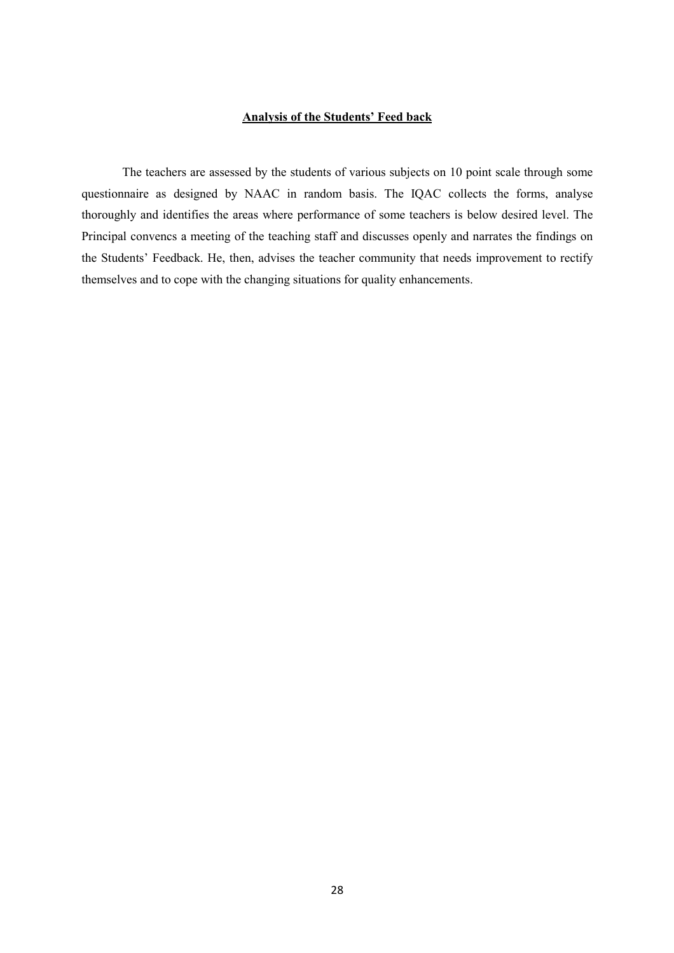### Analysis of the Students' Feed back

The teachers are assessed by the students of various subjects on 10 point scale through some questionnaire as designed by NAAC in random basis. The IQAC collects the forms, analyse thoroughly and identifies the areas where performance of some teachers is below desired level. The Principal convencs a meeting of the teaching staff and discusses openly and narrates the findings on the Students' Feedback. He, then, advises the teacher community that needs improvement to rectify themselves and to cope with the changing situations for quality enhancements.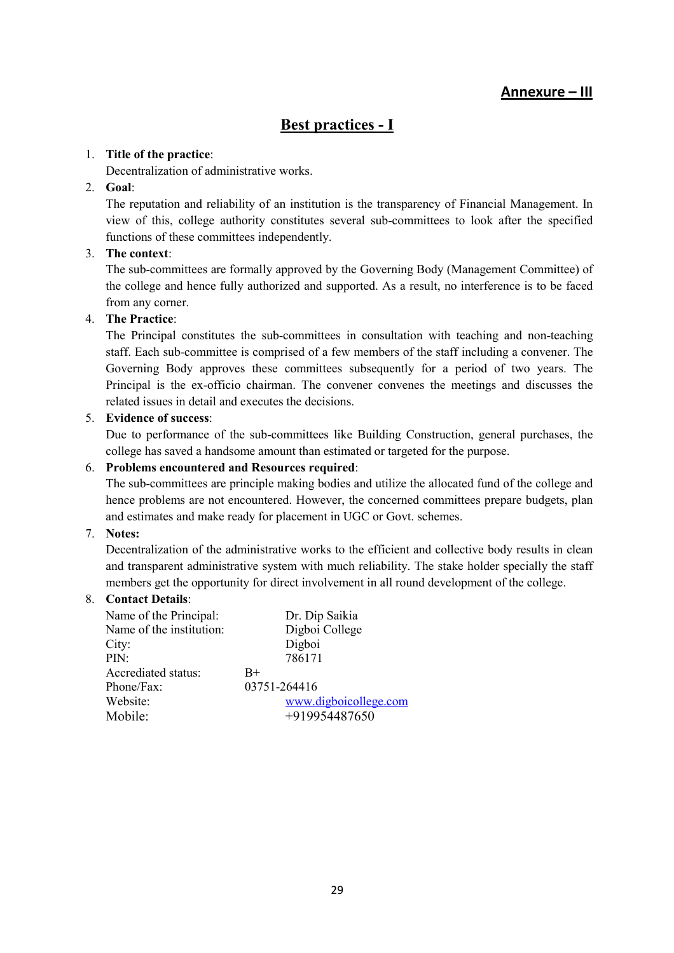# Annexure – III

# Best practices - I

## 1. Title of the practice:

Decentralization of administrative works.

### 2. Goal:

The reputation and reliability of an institution is the transparency of Financial Management. In view of this, college authority constitutes several sub-committees to look after the specified functions of these committees independently.

## 3. The context:

The sub-committees are formally approved by the Governing Body (Management Committee) of the college and hence fully authorized and supported. As a result, no interference is to be faced from any corner.

## 4. The Practice:

The Principal constitutes the sub-committees in consultation with teaching and non-teaching staff. Each sub-committee is comprised of a few members of the staff including a convener. The Governing Body approves these committees subsequently for a period of two years. The Principal is the ex-officio chairman. The convener convenes the meetings and discusses the related issues in detail and executes the decisions.

### 5. Evidence of success:

Due to performance of the sub-committees like Building Construction, general purchases, the college has saved a handsome amount than estimated or targeted for the purpose.

### 6. Problems encountered and Resources required:

The sub-committees are principle making bodies and utilize the allocated fund of the college and hence problems are not encountered. However, the concerned committees prepare budgets, plan and estimates and make ready for placement in UGC or Govt. schemes.

## 7. Notes:

Decentralization of the administrative works to the efficient and collective body results in clean and transparent administrative system with much reliability. The stake holder specially the staff members get the opportunity for direct involvement in all round development of the college.

### 8. Contact Details:

| Name of the Principal:   | Dr. Dip Saikia        |
|--------------------------|-----------------------|
| Name of the institution: | Digboi College        |
| City:                    | Digboi                |
| PIN:                     | 786171                |
| Accrediated status:      | $_{\rm B+}$           |
| Phone/Fax:               | 03751-264416          |
| Website:                 | www.digboicollege.com |
| Mobile:                  | +919954487650         |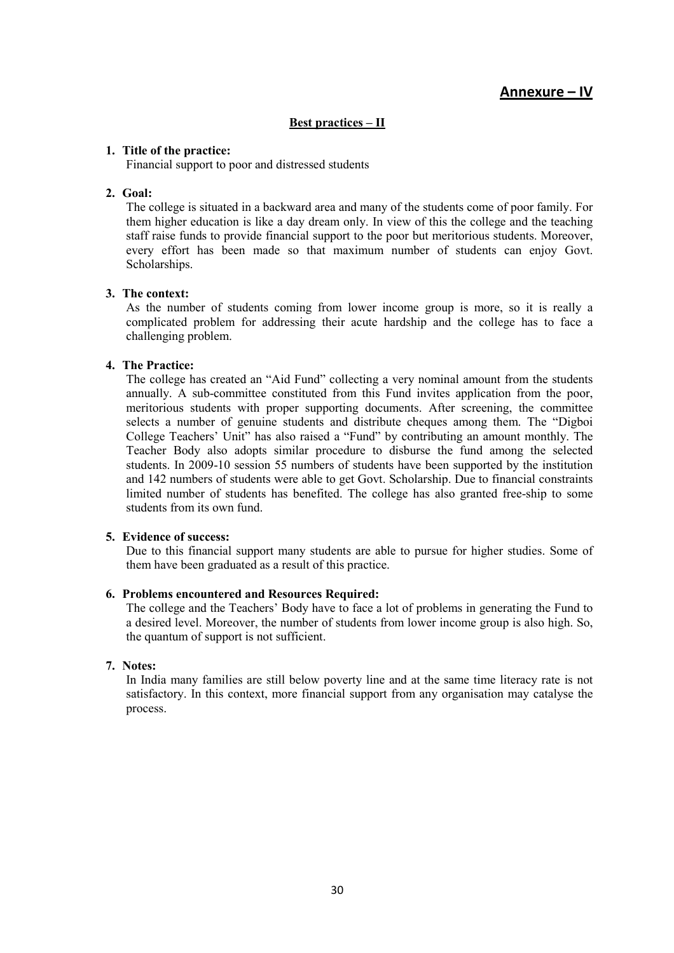# Annexure – IV

### Best practices – II

### 1. Title of the practice:

Financial support to poor and distressed students

#### 2. Goal:

The college is situated in a backward area and many of the students come of poor family. For them higher education is like a day dream only. In view of this the college and the teaching staff raise funds to provide financial support to the poor but meritorious students. Moreover, every effort has been made so that maximum number of students can enjoy Govt. Scholarships.

#### 3. The context:

As the number of students coming from lower income group is more, so it is really a complicated problem for addressing their acute hardship and the college has to face a challenging problem.

### 4. The Practice:

The college has created an "Aid Fund" collecting a very nominal amount from the students annually. A sub-committee constituted from this Fund invites application from the poor, meritorious students with proper supporting documents. After screening, the committee selects a number of genuine students and distribute cheques among them. The "Digboi College Teachers' Unit" has also raised a "Fund" by contributing an amount monthly. The Teacher Body also adopts similar procedure to disburse the fund among the selected students. In 2009-10 session 55 numbers of students have been supported by the institution and 142 numbers of students were able to get Govt. Scholarship. Due to financial constraints limited number of students has benefited. The college has also granted free-ship to some students from its own fund.

#### 5. Evidence of success:

Due to this financial support many students are able to pursue for higher studies. Some of them have been graduated as a result of this practice.

#### 6. Problems encountered and Resources Required:

The college and the Teachers' Body have to face a lot of problems in generating the Fund to a desired level. Moreover, the number of students from lower income group is also high. So, the quantum of support is not sufficient.

#### 7. Notes:

In India many families are still below poverty line and at the same time literacy rate is not satisfactory. In this context, more financial support from any organisation may catalyse the process.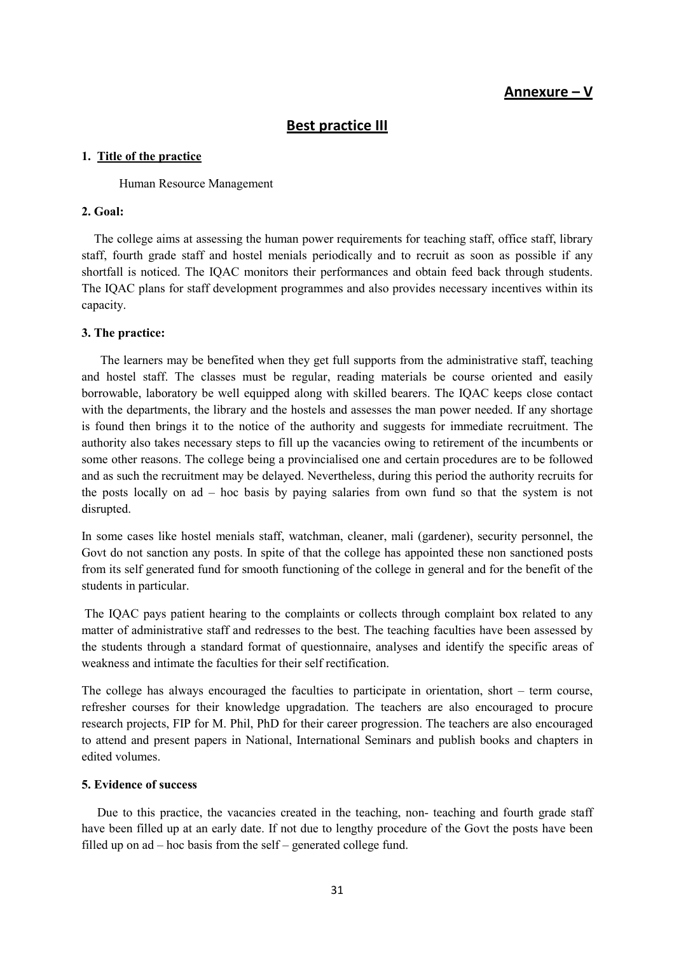## Annexure – V

## Best practice III

### 1. Title of the practice

#### Human Resource Management

### 2. Goal:

 The college aims at assessing the human power requirements for teaching staff, office staff, library staff, fourth grade staff and hostel menials periodically and to recruit as soon as possible if any shortfall is noticed. The IQAC monitors their performances and obtain feed back through students. The IQAC plans for staff development programmes and also provides necessary incentives within its capacity.

#### 3. The practice:

 The learners may be benefited when they get full supports from the administrative staff, teaching and hostel staff. The classes must be regular, reading materials be course oriented and easily borrowable, laboratory be well equipped along with skilled bearers. The IQAC keeps close contact with the departments, the library and the hostels and assesses the man power needed. If any shortage is found then brings it to the notice of the authority and suggests for immediate recruitment. The authority also takes necessary steps to fill up the vacancies owing to retirement of the incumbents or some other reasons. The college being a provincialised one and certain procedures are to be followed and as such the recruitment may be delayed. Nevertheless, during this period the authority recruits for the posts locally on ad – hoc basis by paying salaries from own fund so that the system is not disrupted.

In some cases like hostel menials staff, watchman, cleaner, mali (gardener), security personnel, the Govt do not sanction any posts. In spite of that the college has appointed these non sanctioned posts from its self generated fund for smooth functioning of the college in general and for the benefit of the students in particular.

 The IQAC pays patient hearing to the complaints or collects through complaint box related to any matter of administrative staff and redresses to the best. The teaching faculties have been assessed by the students through a standard format of questionnaire, analyses and identify the specific areas of weakness and intimate the faculties for their self rectification.

The college has always encouraged the faculties to participate in orientation, short – term course, refresher courses for their knowledge upgradation. The teachers are also encouraged to procure research projects, FIP for M. Phil, PhD for their career progression. The teachers are also encouraged to attend and present papers in National, International Seminars and publish books and chapters in edited volumes.

### 5. Evidence of success

 Due to this practice, the vacancies created in the teaching, non- teaching and fourth grade staff have been filled up at an early date. If not due to lengthy procedure of the Govt the posts have been filled up on ad – hoc basis from the self – generated college fund.